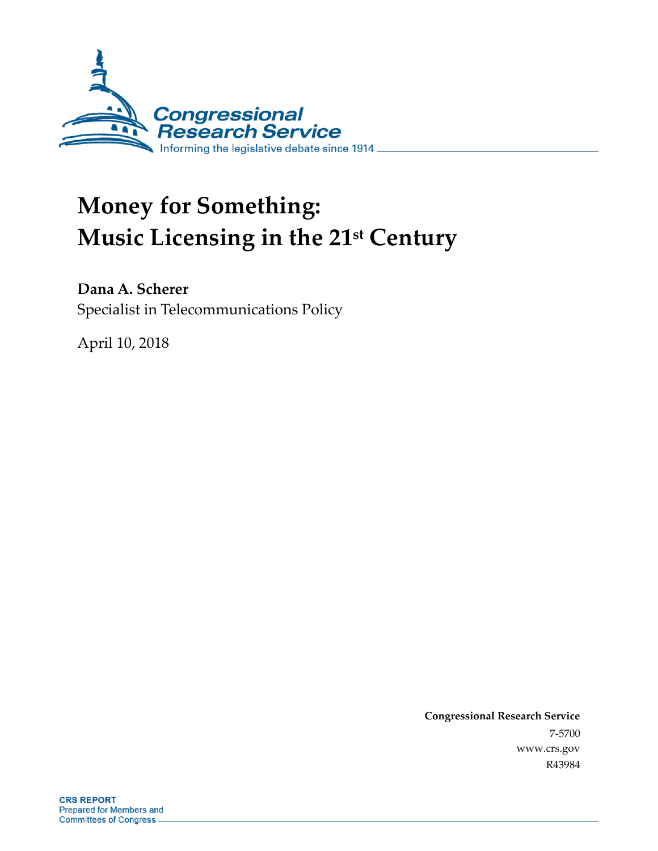

# **Money for Something: Music Licensing in the 21st Century**

**Dana A. Scherer**

Specialist in Telecommunications Policy

April 10, 2018

**Congressional Research Service** 7-5700 www.crs.gov R43984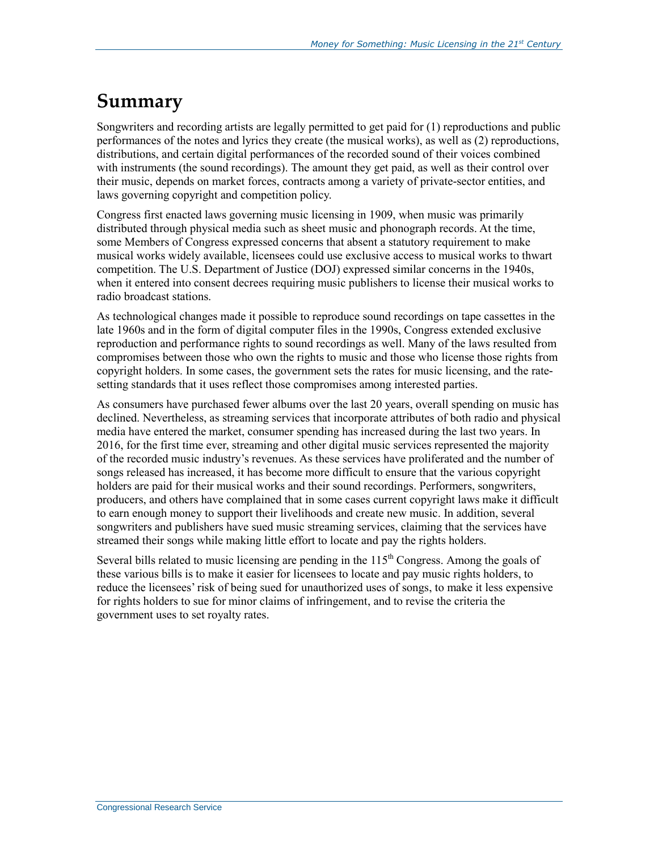## **Summary**

Songwriters and recording artists are legally permitted to get paid for (1) reproductions and public performances of the notes and lyrics they create (the musical works), as well as (2) reproductions, distributions, and certain digital performances of the recorded sound of their voices combined with instruments (the sound recordings). The amount they get paid, as well as their control over their music, depends on market forces, contracts among a variety of private-sector entities, and laws governing copyright and competition policy.

Congress first enacted laws governing music licensing in 1909, when music was primarily distributed through physical media such as sheet music and phonograph records. At the time, some Members of Congress expressed concerns that absent a statutory requirement to make musical works widely available, licensees could use exclusive access to musical works to thwart competition. The U.S. Department of Justice (DOJ) expressed similar concerns in the 1940s, when it entered into consent decrees requiring music publishers to license their musical works to radio broadcast stations.

As technological changes made it possible to reproduce sound recordings on tape cassettes in the late 1960s and in the form of digital computer files in the 1990s, Congress extended exclusive reproduction and performance rights to sound recordings as well. Many of the laws resulted from compromises between those who own the rights to music and those who license those rights from copyright holders. In some cases, the government sets the rates for music licensing, and the ratesetting standards that it uses reflect those compromises among interested parties.

As consumers have purchased fewer albums over the last 20 years, overall spending on music has declined. Nevertheless, as streaming services that incorporate attributes of both radio and physical media have entered the market, consumer spending has increased during the last two years. In 2016, for the first time ever, streaming and other digital music services represented the majority of the recorded music industry's revenues. As these services have proliferated and the number of songs released has increased, it has become more difficult to ensure that the various copyright holders are paid for their musical works and their sound recordings. Performers, songwriters, producers, and others have complained that in some cases current copyright laws make it difficult to earn enough money to support their livelihoods and create new music. In addition, several songwriters and publishers have sued music streaming services, claiming that the services have streamed their songs while making little effort to locate and pay the rights holders.

Several bills related to music licensing are pending in the  $115<sup>th</sup>$  Congress. Among the goals of these various bills is to make it easier for licensees to locate and pay music rights holders, to reduce the licensees' risk of being sued for unauthorized uses of songs, to make it less expensive for rights holders to sue for minor claims of infringement, and to revise the criteria the government uses to set royalty rates.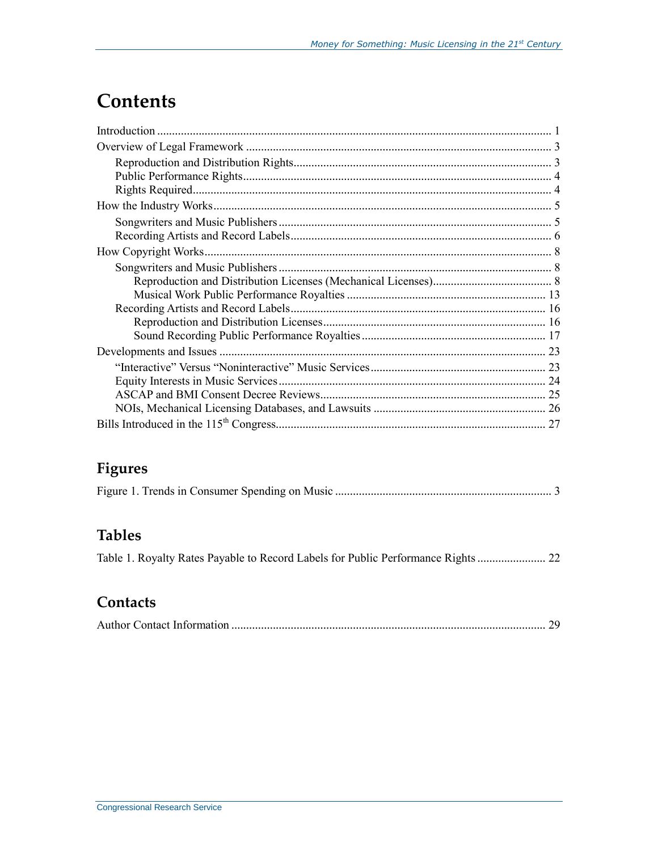## **Contents**

## **Figures**

### **Tables**

|  |  |  |  | Table 1. Royalty Rates Payable to Record Labels for Public Performance Rights  22 |
|--|--|--|--|-----------------------------------------------------------------------------------|
|  |  |  |  |                                                                                   |

### **Contacts**

|--|--|--|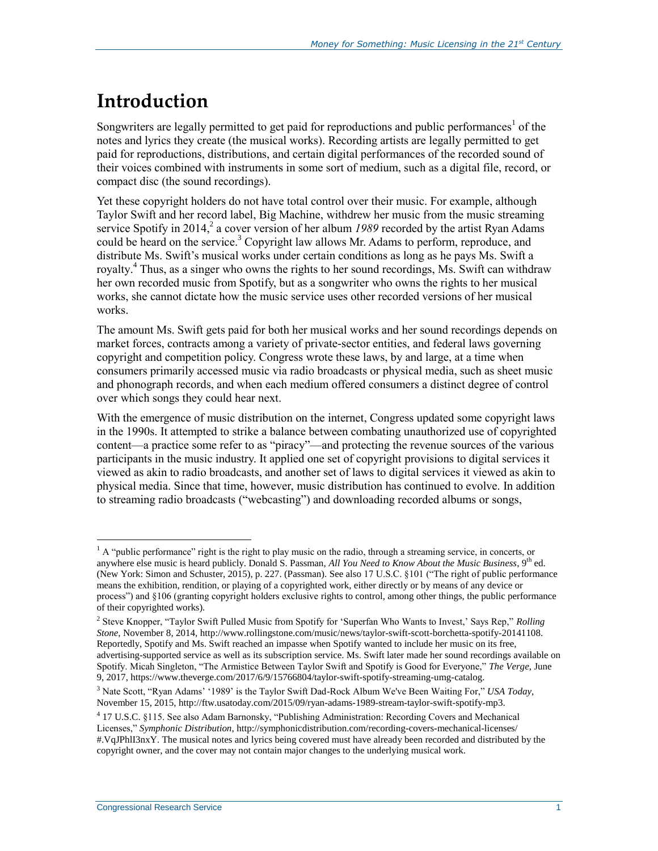## **Introduction**

Songwriters are legally permitted to get paid for reproductions and public performances<sup>1</sup> of the notes and lyrics they create (the musical works). Recording artists are legally permitted to get paid for reproductions, distributions, and certain digital performances of the recorded sound of their voices combined with instruments in some sort of medium, such as a digital file, record, or compact disc (the sound recordings).

Yet these copyright holders do not have total control over their music. For example, although Taylor Swift and her record label, Big Machine, withdrew her music from the music streaming service Spotify in 2014,<sup>2</sup> a cover version of her album 1989 recorded by the artist Ryan Adams could be heard on the service.<sup>3</sup> Copyright law allows Mr. Adams to perform, reproduce, and distribute Ms. Swift's musical works under certain conditions as long as he pays Ms. Swift a royalty. <sup>4</sup> Thus, as a singer who owns the rights to her sound recordings, Ms. Swift can withdraw her own recorded music from Spotify, but as a songwriter who owns the rights to her musical works, she cannot dictate how the music service uses other recorded versions of her musical works.

The amount Ms. Swift gets paid for both her musical works and her sound recordings depends on market forces, contracts among a variety of private-sector entities, and federal laws governing copyright and competition policy. Congress wrote these laws, by and large, at a time when consumers primarily accessed music via radio broadcasts or physical media, such as sheet music and phonograph records, and when each medium offered consumers a distinct degree of control over which songs they could hear next.

With the emergence of music distribution on the internet, Congress updated some copyright laws in the 1990s. It attempted to strike a balance between combating unauthorized use of copyrighted content—a practice some refer to as "piracy"—and protecting the revenue sources of the various participants in the music industry. It applied one set of copyright provisions to digital services it viewed as akin to radio broadcasts, and another set of laws to digital services it viewed as akin to physical media. Since that time, however, music distribution has continued to evolve. In addition to streaming radio broadcasts ("webcasting") and downloading recorded albums or songs,

<sup>&</sup>lt;sup>1</sup> A "public performance" right is the right to play music on the radio, through a streaming service, in concerts, or anywhere else music is heard publicly. Donald S. Passman, *All You Need to Know About the Music Business*, 9th ed. (New York: Simon and Schuster, 2015), p. 227. (Passman). See also 17 U.S.C. §101 ("The right of public performance means the exhibition, rendition, or playing of a copyrighted work, either directly or by means of any device or process") and §106 (granting copyright holders exclusive rights to control, among other things, the public performance of their copyrighted works).

<sup>2</sup> Steve Knopper, "Taylor Swift Pulled Music from Spotify for 'Superfan Who Wants to Invest,' Says Rep," *Rolling Stone*, November 8, 2014, http://www.rollingstone.com/music/news/taylor-swift-scott-borchetta-spotify-20141108. Reportedly, Spotify and Ms. Swift reached an impasse when Spotify wanted to include her music on its free, advertising-supported service as well as its subscription service. Ms. Swift later made her sound recordings available on Spotify. Micah Singleton, "The Armistice Between Taylor Swift and Spotify is Good for Everyone," *The Verge*, June 9, 2017, https://www.theverge.com/2017/6/9/15766804/taylor-swift-spotify-streaming-umg-catalog.

<sup>3</sup> Nate Scott, "Ryan Adams' '1989' is the Taylor Swift Dad-Rock Album We've Been Waiting For," *USA Today*, November 15, 2015, http://ftw.usatoday.com/2015/09/ryan-adams-1989-stream-taylor-swift-spotify-mp3.

<sup>4</sup> 17 U.S.C. §115. See also Adam Barnonsky, "Publishing Administration: Recording Covers and Mechanical Licenses," *Symphonic Distribution*, http://symphonicdistribution.com/recording-covers-mechanical-licenses/ #.VqJPhlI3nxY. The musical notes and lyrics being covered must have already been recorded and distributed by the copyright owner, and the cover may not contain major changes to the underlying musical work.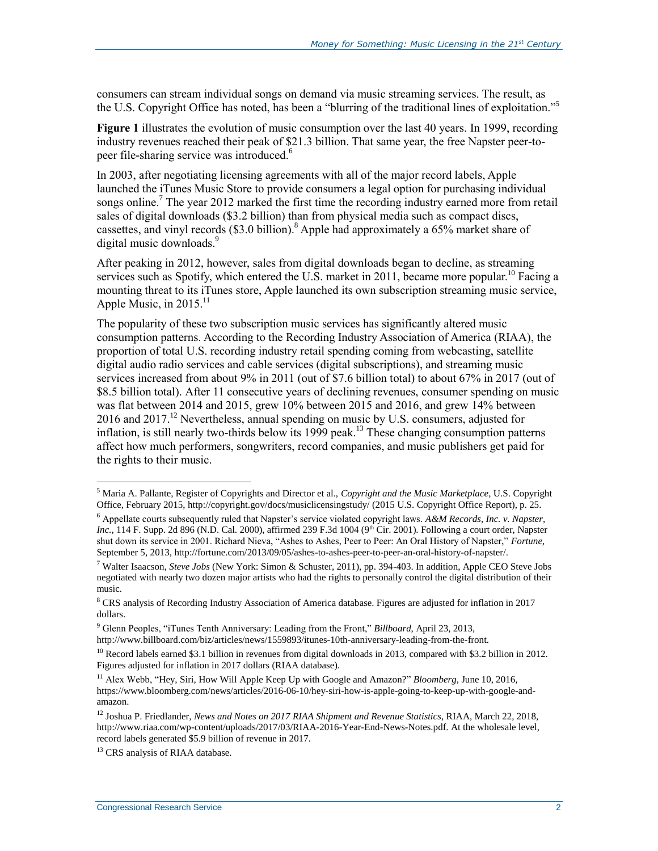consumers can stream individual songs on demand via music streaming services. The result, as the U.S. Copyright Office has noted, has been a "blurring of the traditional lines of exploitation."<sup>5</sup>

**[Figure 1](#page-5-0)** illustrates the evolution of music consumption over the last 40 years. In 1999, recording industry revenues reached their peak of \$21.3 billion. That same year, the free Napster peer-topeer file-sharing service was introduced.<sup>6</sup>

In 2003, after negotiating licensing agreements with all of the major record labels, Apple launched the iTunes Music Store to provide consumers a legal option for purchasing individual songs online.<sup>7</sup> The year 2012 marked the first time the recording industry earned more from retail sales of digital downloads (\$3.2 billion) than from physical media such as compact discs, cassettes, and vinyl records (\$3.0 billion). <sup>8</sup> Apple had approximately a 65% market share of digital music downloads.<sup>9</sup>

After peaking in 2012, however, sales from digital downloads began to decline, as streaming services such as Spotify, which entered the U.S. market in 2011, became more popular.<sup>10</sup> Facing a mounting threat to its iTunes store, Apple launched its own subscription streaming music service, Apple Music, in  $2015$ <sup>11</sup>

The popularity of these two subscription music services has significantly altered music consumption patterns. According to the Recording Industry Association of America (RIAA), the proportion of total U.S. recording industry retail spending coming from webcasting, satellite digital audio radio services and cable services (digital subscriptions), and streaming music services increased from about 9% in 2011 (out of \$7.6 billion total) to about 67% in 2017 (out of \$8.5 billion total). After 11 consecutive years of declining revenues, consumer spending on music was flat between 2014 and 2015, grew 10% between 2015 and 2016, and grew 14% between 2016 and 2017.<sup>12</sup> Nevertheless, annual spending on music by U.S. consumers, adjusted for inflation, is still nearly two-thirds below its 1999 peak. <sup>13</sup> These changing consumption patterns affect how much performers, songwriters, record companies, and music publishers get paid for the rights to their music.

<sup>5</sup> Maria A. Pallante, Register of Copyrights and Director et al., *Copyright and the Music Marketplace*, U.S. Copyright Office, February 2015, http://copyright.gov/docs/musiclicensingstudy/ (2015 U.S. Copyright Office Report), p. 25.

<sup>6</sup> Appellate courts subsequently ruled that Napster's service violated copyright laws. *A&M Records, Inc. v. Napster, Inc.*, 114 F. Supp. 2d 896 (N.D. Cal. 2000), affirmed 239 F.3d 1004 (9<sup>th</sup> Cir. 2001). Following a court order, Napster shut down its service in 2001. Richard Nieva, "Ashes to Ashes, Peer to Peer: An Oral History of Napster," *Fortune*, September 5, 2013, http://fortune.com/2013/09/05/ashes-to-ashes-peer-to-peer-an-oral-history-of-napster/.

<sup>7</sup> Walter Isaacson, *Steve Jobs* (New York: Simon & Schuster, 2011), pp. 394-403. In addition, Apple CEO Steve Jobs negotiated with nearly two dozen major artists who had the rights to personally control the digital distribution of their music.

<sup>8</sup> CRS analysis of Recording Industry Association of America database. Figures are adjusted for inflation in 2017 dollars.

<sup>9</sup> Glenn Peoples, "iTunes Tenth Anniversary: Leading from the Front," *Billboard*, April 23, 2013,

http://www.billboard.com/biz/articles/news/1559893/itunes-10th-anniversary-leading-from-the-front.

<sup>&</sup>lt;sup>10</sup> Record labels earned \$3.1 billion in revenues from digital downloads in 2013, compared with \$3.2 billion in 2012. Figures adjusted for inflation in 2017 dollars (RIAA database).

<sup>11</sup> Alex Webb, "Hey, Siri, How Will Apple Keep Up with Google and Amazon?" *Bloomberg,* June 10, 2016, https://www.bloomberg.com/news/articles/2016-06-10/hey-siri-how-is-apple-going-to-keep-up-with-google-andamazon.

<sup>12</sup> Joshua P. Friedlander, *News and Notes on 2017 RIAA Shipment and Revenue Statistics*, RIAA, March 22, 2018, http://www.riaa.com/wp-content/uploads/2017/03/RIAA-2016-Year-End-News-Notes.pdf. At the wholesale level, record labels generated \$5.9 billion of revenue in 2017.

<sup>&</sup>lt;sup>13</sup> CRS analysis of RIAA database.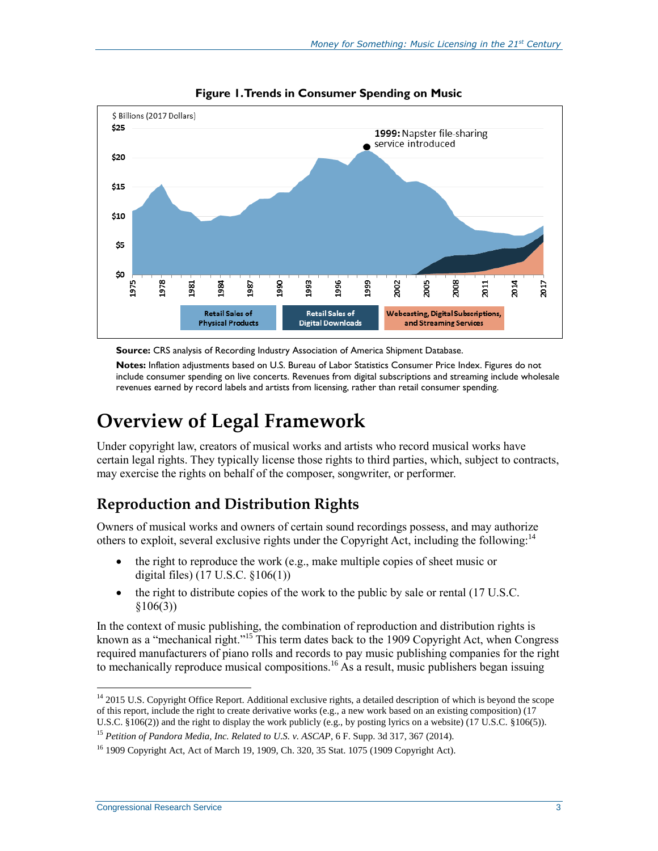<span id="page-5-0"></span>

**Figure 1. Trends in Consumer Spending on Music**

**Source:** CRS analysis of Recording Industry Association of America Shipment Database.

**Notes:** Inflation adjustments based on U.S. Bureau of Labor Statistics Consumer Price Index. Figures do not include consumer spending on live concerts. Revenues from digital subscriptions and streaming include wholesale revenues earned by record labels and artists from licensing, rather than retail consumer spending.

## **Overview of Legal Framework**

Under copyright law, creators of musical works and artists who record musical works have certain legal rights. They typically license those rights to third parties, which, subject to contracts, may exercise the rights on behalf of the composer, songwriter, or performer.

### **Reproduction and Distribution Rights**

Owners of musical works and owners of certain sound recordings possess, and may authorize others to exploit, several exclusive rights under the Copyright Act, including the following:<sup>14</sup>

- $\bullet$  the right to reproduce the work (e.g., make multiple copies of sheet music or digital files) (17 U.S.C. §106(1))
- $\bullet$  the right to distribute copies of the work to the public by sale or rental (17 U.S.C.)  $$106(3))$

In the context of music publishing, the combination of reproduction and distribution rights is known as a "mechanical right."<sup>15</sup> This term dates back to the 1909 Copyright Act, when Congress required manufacturers of piano rolls and records to pay music publishing companies for the right to mechanically reproduce musical compositions.<sup>16</sup> As a result, music publishers began issuing

 $\overline{a}$ <sup>14</sup> 2015 U.S. Copyright Office Report. Additional exclusive rights, a detailed description of which is beyond the scope of this report, include the right to create derivative works (e.g., a new work based on an existing composition)  $(17)$ U.S.C. §106(2)) and the right to display the work publicly (e.g., by posting lyrics on a website) (17 U.S.C. §106(5)).

<sup>15</sup> *Petition of Pandora Media, Inc. Related to U.S. v. ASCAP*, 6 F. Supp. 3d 317, 367 (2014).

<sup>16</sup> 1909 Copyright Act, Act of March 19, 1909, Ch. 320, 35 Stat. 1075 (1909 Copyright Act).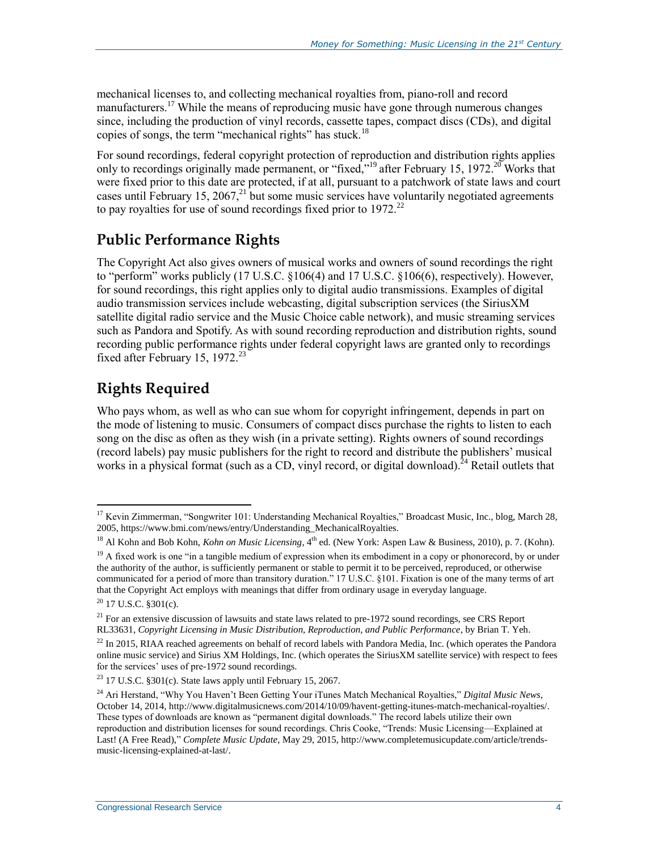mechanical licenses to, and collecting mechanical royalties from, piano-roll and record manufacturers.<sup>17</sup> While the means of reproducing music have gone through numerous changes since, including the production of vinyl records, cassette tapes, compact discs (CDs), and digital copies of songs, the term "mechanical rights" has stuck.<sup>18</sup>

For sound recordings, federal copyright protection of reproduction and distribution rights applies only to recordings originally made permanent, or "fixed,"<sup>19</sup> after February 15, 1972.<sup>20</sup> Works that were fixed prior to this date are protected, if at all, pursuant to a patchwork of state laws and court cases until February 15, 2067, $^{21}$  but some music services have voluntarily negotiated agreements to pay royalties for use of sound recordings fixed prior to  $1972$ <sup>22</sup>

### **Public Performance Rights**

The Copyright Act also gives owners of musical works and owners of sound recordings the right to "perform" works publicly  $(17 \text{ U.S.C. } §106(4)$  and  $17 \text{ U.S.C. } §106(6)$ , respectively). However, for sound recordings, this right applies only to digital audio transmissions. Examples of digital audio transmission services include webcasting, digital subscription services (the SiriusXM satellite digital radio service and the Music Choice cable network), and music streaming services such as Pandora and Spotify. As with sound recording reproduction and distribution rights, sound recording public performance rights under federal copyright laws are granted only to recordings fixed after February 15, 1972.<sup>23</sup>

### **Rights Required**

Who pays whom, as well as who can sue whom for copyright infringement, depends in part on the mode of listening to music. Consumers of compact discs purchase the rights to listen to each song on the disc as often as they wish (in a private setting). Rights owners of sound recordings (record labels) pay music publishers for the right to record and distribute the publishers' musical works in a physical format (such as a CD, vinyl record, or digital download).<sup>24</sup> Retail outlets that

<sup>&</sup>lt;sup>17</sup> Kevin Zimmerman, "Songwriter 101: Understanding Mechanical Royalties," Broadcast Music, Inc., blog, March 28, 2005, https://www.bmi.com/news/entry/Understanding\_MechanicalRoyalties.

<sup>&</sup>lt;sup>18</sup> Al Kohn and Bob Kohn, *Kohn on Music Licensing*, 4<sup>th</sup> ed. (New York: Aspen Law & Business, 2010), p. 7. (Kohn).

<sup>&</sup>lt;sup>19</sup> A fixed work is one "in a tangible medium of expression when its embodiment in a copy or phonorecord, by or under the authority of the author, is sufficiently permanent or stable to permit it to be perceived, reproduced, or otherwise communicated for a period of more than transitory duration." 17 U.S.C. §101. Fixation is one of the many terms of art that the Copyright Act employs with meanings that differ from ordinary usage in everyday language.

 $20$  17 U.S.C. §301(c).

<sup>&</sup>lt;sup>21</sup> For an extensive discussion of lawsuits and state laws related to pre-1972 sound recordings, see CRS Report RL33631, *Copyright Licensing in Music Distribution, Reproduction, and Public Performance*, by Brian T. Yeh.

 $^{22}$  In 2015, RIAA reached agreements on behalf of record labels with Pandora Media, Inc. (which operates the Pandora online music service) and Sirius XM Holdings, Inc. (which operates the SiriusXM satellite service) with respect to fees for the services' uses of pre-1972 sound recordings.

 $23$  17 U.S.C. §301(c). State laws apply until February 15, 2067.

<sup>24</sup> Ari Herstand, "Why You Haven't Been Getting Your iTunes Match Mechanical Royalties," *Digital Music News*, October 14, 2014, http://www.digitalmusicnews.com/2014/10/09/havent-getting-itunes-match-mechanical-royalties/. These types of downloads are known as "permanent digital downloads." The record labels utilize their own reproduction and distribution licenses for sound recordings. Chris Cooke, "Trends: Music Licensing—Explained at Last! (A Free Read)," *Complete Music Update*, May 29, 2015, http://www.completemusicupdate.com/article/trendsmusic-licensing-explained-at-last/.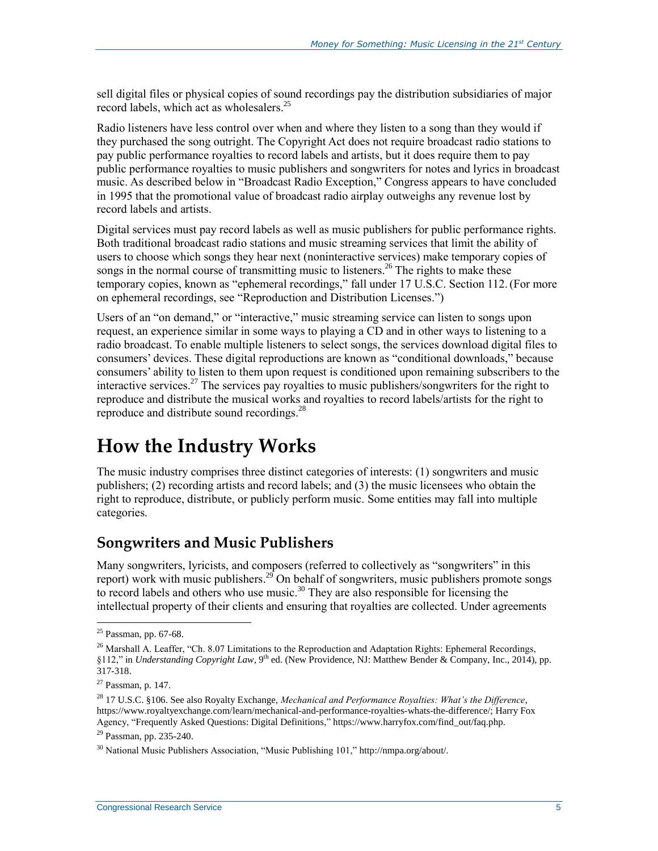sell digital files or physical copies of sound recordings pay the distribution subsidiaries of major record labels, which act as wholesalers. 25

Radio listeners have less control over when and where they listen to a song than they would if they purchased the song outright. The Copyright Act does not require broadcast radio stations to pay public performance royalties to record labels and artists, but it does require them to pay public performance royalties to music publishers and songwriters for notes and lyrics in broadcast music. As described below in ["Broadcast Radio Exception,](#page-20-0)" Congress appears to have concluded in 1995 that the promotional value of broadcast radio airplay outweighs any revenue lost by record labels and artists.

Digital services must pay record labels as well as music publishers for public performance rights. Both traditional broadcast radio stations and music streaming services that limit the ability of users to choose which songs they hear next (noninteractive services) make temporary copies of songs in the normal course of transmitting music to listeners.<sup>26</sup> The rights to make these temporary copies, known as "ephemeral recordings," fall under 17 U.S.C. Section 112.(For more on ephemeral recordings, see ["Reproduction and Distribution Licenses.](#page-18-0)")

Users of an "on demand," or "interactive," music streaming service can listen to songs upon request, an experience similar in some ways to playing a CD and in other ways to listening to a radio broadcast. To enable multiple listeners to select songs, the services download digital files to consumers' devices. These digital reproductions are known as "conditional downloads," because consumers' ability to listen to them upon request is conditioned upon remaining subscribers to the interactive services.<sup>27</sup> The services pay royalties to music publishers/songwriters for the right to reproduce and distribute the musical works and royalties to record labels/artists for the right to reproduce and distribute sound recordings.<sup>28</sup>

## **How the Industry Works**

The music industry comprises three distinct categories of interests: (1) songwriters and music publishers; (2) recording artists and record labels; and (3) the music licensees who obtain the right to reproduce, distribute, or publicly perform music. Some entities may fall into multiple categories.

### <span id="page-7-0"></span>**Songwriters and Music Publishers**

Many songwriters, lyricists, and composers (referred to collectively as "songwriters" in this report) work with music publishers.<sup>29</sup> On behalf of songwriters, music publishers promote songs to record labels and others who use music.<sup>30</sup> They are also responsible for licensing the intellectual property of their clients and ensuring that royalties are collected. Under agreements

<sup>25</sup> Passman, pp. 67-68.

 $^{26}$  Marshall A. Leaffer, "Ch. 8.07 Limitations to the Reproduction and Adaptation Rights: Ephemeral Recordings, §112," in *Understanding Copyright Law*, 9th ed. (New Providence, NJ: Matthew Bender & Company, Inc., 2014), pp. 317-318.

 $27$  Passman, p. 147.

<sup>28</sup> 17 U.S.C. §106. See also Royalty Exchange, *Mechanical and Performance Royalties: What's the Difference*, https://www.royaltyexchange.com/learn/mechanical-and-performance-royalties-whats-the-difference/; Harry Fox Agency, "Frequently Asked Questions: Digital Definitions," https://www.harryfox.com/find\_out/faq.php.

<sup>29</sup> Passman, pp. 235-240.

<sup>30</sup> National Music Publishers Association, "Music Publishing 101," http://nmpa.org/about/.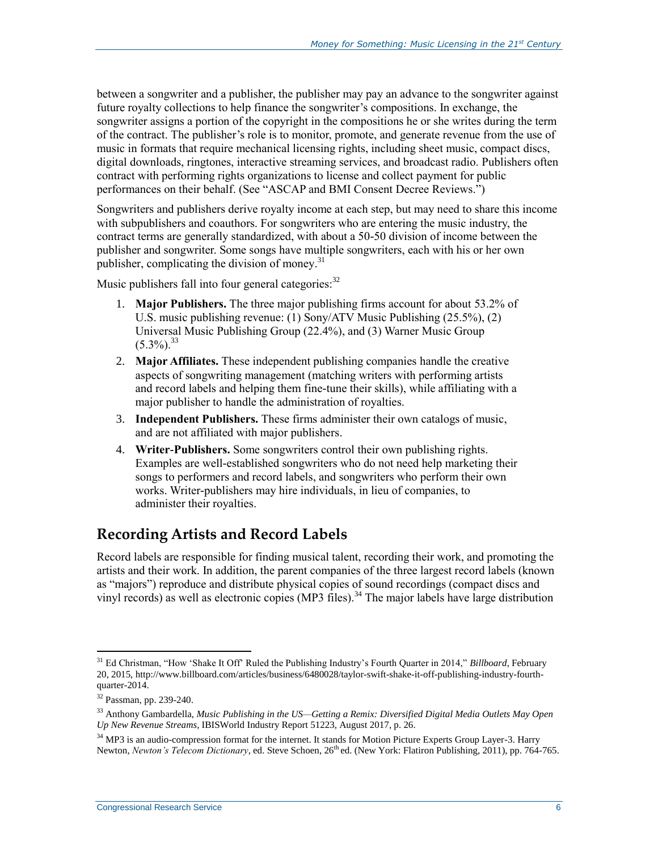between a songwriter and a publisher, the publisher may pay an advance to the songwriter against future royalty collections to help finance the songwriter's compositions. In exchange, the songwriter assigns a portion of the copyright in the compositions he or she writes during the term of the contract. The publisher's role is to monitor, promote, and generate revenue from the use of music in formats that require mechanical licensing rights, including sheet music, compact discs, digital downloads, ringtones, interactive streaming services, and broadcast radio. Publishers often contract with performing rights organizations to license and collect payment for public performances on their behalf. (See ["ASCAP and BMI Consent Decree Reviews.](#page-27-0)")

Songwriters and publishers derive royalty income at each step, but may need to share this income with subpublishers and coauthors. For songwriters who are entering the music industry, the contract terms are generally standardized, with about a 50-50 division of income between the publisher and songwriter. Some songs have multiple songwriters, each with his or her own publisher, complicating the division of money.<sup>31</sup>

Music publishers fall into four general categories:<sup>32</sup>

- 1. **Major Publishers.** The three major publishing firms account for about 53.2% of U.S. music publishing revenue: (1) Sony/ATV Music Publishing (25.5%), (2) Universal Music Publishing Group (22.4%), and (3) Warner Music Group  $(5.3\%)$ <sup>33</sup>
- 2. **Major Affiliates.** These independent publishing companies handle the creative aspects of songwriting management (matching writers with performing artists and record labels and helping them fine-tune their skills), while affiliating with a major publisher to handle the administration of royalties.
- 3. **Independent Publishers.** These firms administer their own catalogs of music, and are not affiliated with major publishers.
- 4. **Writer-Publishers.** Some songwriters control their own publishing rights. Examples are well-established songwriters who do not need help marketing their songs to performers and record labels, and songwriters who perform their own works. Writer-publishers may hire individuals, in lieu of companies, to administer their royalties.

### **Recording Artists and Record Labels**

Record labels are responsible for finding musical talent, recording their work, and promoting the artists and their work. In addition, the parent companies of the three largest record labels (known as "majors") reproduce and distribute physical copies of sound recordings (compact discs and vinyl records) as well as electronic copies (MP3 files).<sup>34</sup> The major labels have large distribution

<sup>31</sup> Ed Christman, "How 'Shake It Off' Ruled the Publishing Industry's Fourth Quarter in 2014," *Billboard*, February 20, 2015, http://www.billboard.com/articles/business/6480028/taylor-swift-shake-it-off-publishing-industry-fourthquarter-2014.

<sup>32</sup> Passman, pp. 239-240.

<sup>33</sup> Anthony Gambardella, *Music Publishing in the US—Getting a Remix: Diversified Digital Media Outlets May Open Up New Revenue Streams*, IBISWorld Industry Report 51223, August 2017, p. 26.

<sup>&</sup>lt;sup>34</sup> MP3 is an audio-compression format for the internet. It stands for Motion Picture Experts Group Layer-3. Harry Newton, *Newton's Telecom Dictionary*, ed. Steve Schoen, 26<sup>th</sup> ed. (New York: Flatiron Publishing, 2011), pp. 764-765.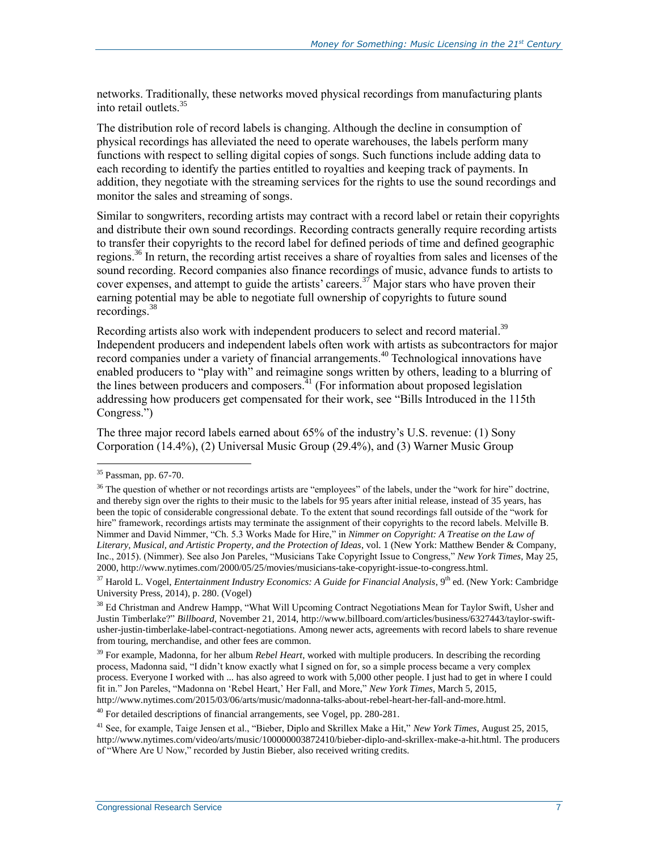networks. Traditionally, these networks moved physical recordings from manufacturing plants into retail outlets.<sup>35</sup>

The distribution role of record labels is changing. Although the decline in consumption of physical recordings has alleviated the need to operate warehouses, the labels perform many functions with respect to selling digital copies of songs. Such functions include adding data to each recording to identify the parties entitled to royalties and keeping track of payments. In addition, they negotiate with the streaming services for the rights to use the sound recordings and monitor the sales and streaming of songs.

Similar to songwriters, recording artists may contract with a record label or retain their copyrights and distribute their own sound recordings. Recording contracts generally require recording artists to transfer their copyrights to the record label for defined periods of time and defined geographic regions.<sup>36</sup> In return, the recording artist receives a share of royalties from sales and licenses of the sound recording. Record companies also finance recordings of music, advance funds to artists to cover expenses, and attempt to guide the artists' careers.<sup>37</sup> Major stars who have proven their earning potential may be able to negotiate full ownership of copyrights to future sound recordings.<sup>38</sup>

Recording artists also work with independent producers to select and record material.<sup>39</sup> Independent producers and independent labels often work with artists as subcontractors for major record companies under a variety of financial arrangements.<sup>40</sup> Technological innovations have enabled producers to "play with" and reimagine songs written by others, leading to a blurring of the lines between producers and composers. $41$  (For information about proposed legislation addressing how producers get compensated for their work, see ["Bills Introduced in the 115th](#page-29-0) [Congress.](#page-29-0)")

The three major record labels earned about 65% of the industry's U.S. revenue: (1) Sony Corporation (14.4%), (2) Universal Music Group (29.4%), and (3) Warner Music Group

 $\overline{a}$ 

<sup>40</sup> For detailed descriptions of financial arrangements, see Vogel, pp. 280-281.

<sup>35</sup> Passman, pp. 67-70.

<sup>&</sup>lt;sup>36</sup> The question of whether or not recordings artists are "employees" of the labels, under the "work for hire" doctrine, and thereby sign over the rights to their music to the labels for 95 years after initial release, instead of 35 years, has been the topic of considerable congressional debate. To the extent that sound recordings fall outside of the "work for hire" framework, recordings artists may terminate the assignment of their copyrights to the record labels. Melville B. Nimmer and David Nimmer, "Ch. 5.3 Works Made for Hire," in *Nimmer on Copyright: A Treatise on the Law of Literary, Musical, and Artistic Property, and the Protection of Ideas*, vol. 1 (New York: Matthew Bender & Company, Inc., 2015). (Nimmer). See also Jon Pareles, "Musicians Take Copyright Issue to Congress," *New York Times*, May 25, 2000, http://www.nytimes.com/2000/05/25/movies/musicians-take-copyright-issue-to-congress.html.

<sup>&</sup>lt;sup>37</sup> Harold L. Vogel, *Entertainment Industry Economics: A Guide for Financial Analysis*, 9<sup>th</sup> ed. (New York: Cambridge University Press, 2014), p. 280. (Vogel)

<sup>&</sup>lt;sup>38</sup> Ed Christman and Andrew Hampp, "What Will Upcoming Contract Negotiations Mean for Taylor Swift, Usher and Justin Timberlake?" *Billboard*, November 21, 2014, http://www.billboard.com/articles/business/6327443/taylor-swiftusher-justin-timberlake-label-contract-negotiations. Among newer acts, agreements with record labels to share revenue from touring, merchandise, and other fees are common.

<sup>&</sup>lt;sup>39</sup> For example, Madonna, for her album *Rebel Heart*, worked with multiple producers. In describing the recording process, Madonna said, "I didn't know exactly what I signed on for, so a simple process became a very complex process. Everyone I worked with ... has also agreed to work with 5,000 other people. I just had to get in where I could fit in." Jon Pareles, "Madonna on 'Rebel Heart,' Her Fall, and More," *New York Times*, March 5, 2015, http://www.nytimes.com/2015/03/06/arts/music/madonna-talks-about-rebel-heart-her-fall-and-more.html.

<sup>41</sup> See, for example, Taige Jensen et al., "Bieber, Diplo and Skrillex Make a Hit," *New York Times*, August 25, 2015, http://www.nytimes.com/video/arts/music/100000003872410/bieber-diplo-and-skrillex-make-a-hit.html. The producers of "Where Are U Now," recorded by Justin Bieber, also received writing credits.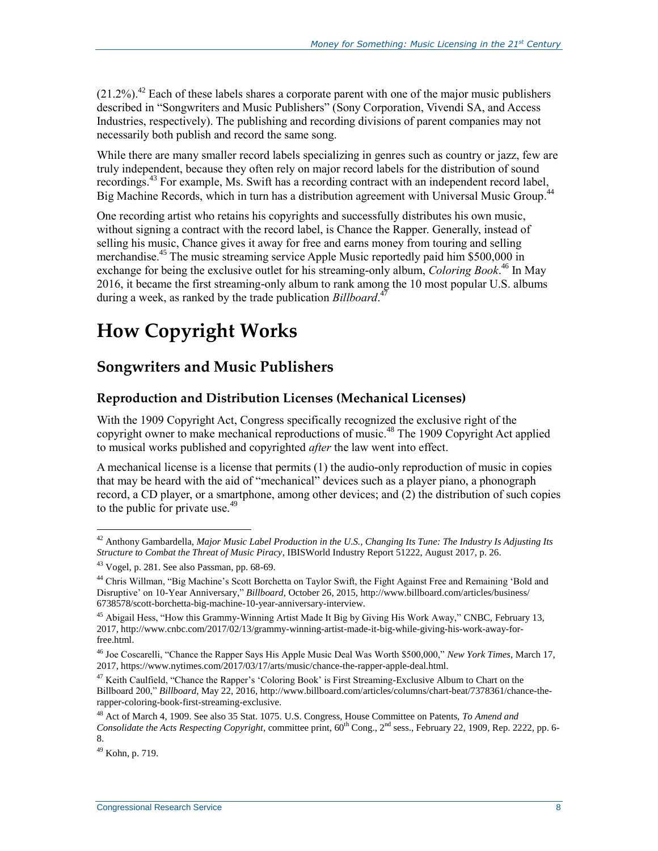$(21.2\%)$ <sup>42</sup> Each of these labels shares a corporate parent with one of the major music publishers described in ["Songwriters and Music Publishers"](#page-7-0) (Sony Corporation, Vivendi SA, and Access Industries, respectively). The publishing and recording divisions of parent companies may not necessarily both publish and record the same song.

While there are many smaller record labels specializing in genres such as country or jazz, few are truly independent, because they often rely on major record labels for the distribution of sound recordings.<sup>43</sup> For example, Ms. Swift has a recording contract with an independent record label,<br>Big Machine Becords, which in turn has a distribution acrosment with Universal Music Group <sup>44</sup> Big Machine Records, which in turn has a distribution agreement with Universal Music Group.

One recording artist who retains his copyrights and successfully distributes his own music, without signing a contract with the record label, is Chance the Rapper. Generally, instead of selling his music, Chance gives it away for free and earns money from touring and selling merchandise.<sup>45</sup> The music streaming service Apple Music reportedly paid him \$500,000 in exchange for being the exclusive outlet for his streaming-only album, *Coloring Book*. <sup>46</sup> In May 2016, it became the first streaming-only album to rank among the 10 most popular U.S. albums during a week, as ranked by the trade publication *Billboard*. 47

## **How Copyright Works**

### **Songwriters and Music Publishers**

#### <span id="page-10-0"></span>**Reproduction and Distribution Licenses (Mechanical Licenses)**

With the 1909 Copyright Act, Congress specifically recognized the exclusive right of the copyright owner to make mechanical reproductions of music.<sup>48</sup> The 1909 Copyright Act applied to musical works published and copyrighted *after* the law went into effect.

A mechanical license is a license that permits (1) the audio-only reproduction of music in copies that may be heard with the aid of "mechanical" devices such as a player piano, a phonograph record, a CD player, or a smartphone, among other devices; and (2) the distribution of such copies to the public for private use.<sup>49</sup>

<sup>42</sup> Anthony Gambardella, *Major Music Label Production in the U.S., Changing Its Tune: The Industry Is Adjusting Its Structure to Combat the Threat of Music Piracy*, IBISWorld Industry Report 51222, August 2017, p. 26.

 $43$  Vogel, p. 281. See also Passman, pp. 68-69.

<sup>&</sup>lt;sup>44</sup> Chris Willman, "Big Machine's Scott Borchetta on Taylor Swift, the Fight Against Free and Remaining 'Bold and Disruptive' on 10-Year Anniversary," *Billboard*, October 26, 2015, http://www.billboard.com/articles/business/ 6738578/scott-borchetta-big-machine-10-year-anniversary-interview.

<sup>&</sup>lt;sup>45</sup> Abigail Hess, "How this Grammy-Winning Artist Made It Big by Giving His Work Away," CNBC, February 13, 2017, http://www.cnbc.com/2017/02/13/grammy-winning-artist-made-it-big-while-giving-his-work-away-forfree.html.

<sup>46</sup> Joe Coscarelli, "Chance the Rapper Says His Apple Music Deal Was Worth \$500,000," *New York Times*, March 17, 2017, https://www.nytimes.com/2017/03/17/arts/music/chance-the-rapper-apple-deal.html.

<sup>&</sup>lt;sup>47</sup> Keith Caulfield, "Chance the Rapper's 'Coloring Book' is First Streaming-Exclusive Album to Chart on the Billboard 200," *Billboard*, May 22, 2016, http://www.billboard.com/articles/columns/chart-beat/7378361/chance-therapper-coloring-book-first-streaming-exclusive.

<sup>48</sup> Act of March 4, 1909. See also 35 Stat. 1075. U.S. Congress, House Committee on Patents, *To Amend and Consolidate the Acts Respecting Copyright*, committee print,  $60^{th}$  Cong., 2<sup>nd</sup> sess., February 22, 1909, Rep. 2222, pp. 6-8.

<sup>49</sup> Kohn, p. 719.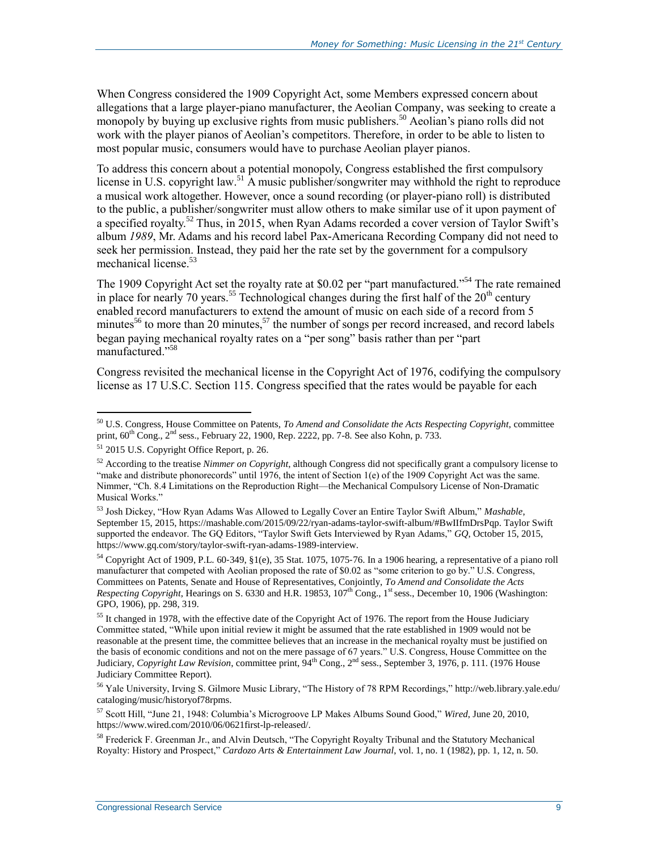When Congress considered the 1909 Copyright Act, some Members expressed concern about allegations that a large player-piano manufacturer, the Aeolian Company, was seeking to create a monopoly by buying up exclusive rights from music publishers.<sup>50</sup> Aeolian's piano rolls did not work with the player pianos of Aeolian's competitors. Therefore, in order to be able to listen to most popular music, consumers would have to purchase Aeolian player pianos.

To address this concern about a potential monopoly, Congress established the first compulsory license in U.S. copyright law.<sup>51</sup> A music publisher/songwriter may withhold the right to reproduce a musical work altogether. However, once a sound recording (or player-piano roll) is distributed to the public, a publisher/songwriter must allow others to make similar use of it upon payment of a specified royalty.<sup>52</sup> Thus, in 2015, when Ryan Adams recorded a cover version of Taylor Swift's album *1989*, Mr. Adams and his record label Pax-Americana Recording Company did not need to seek her permission. Instead, they paid her the rate set by the government for a compulsory mechanical license.<sup>53</sup>

The 1909 Copyright Act set the royalty rate at \$0.02 per "part manufactured."<sup>54</sup> The rate remained in place for nearly 70 years.<sup>55</sup> Technological changes during the first half of the  $20<sup>th</sup>$  century enabled record manufacturers to extend the amount of music on each side of a record from 5 minutes<sup>56</sup> to more than 20 minutes,<sup>57</sup> the number of songs per record increased, and record labels began paying mechanical royalty rates on a "per song" basis rather than per "part manufactured." 58

Congress revisited the mechanical license in the Copyright Act of 1976, codifying the compulsory license as 17 U.S.C. Section 115. Congress specified that the rates would be payable for each

 $\overline{a}$ 

 $54$  Copyright Act of 1909, P.L. 60-349, §1(e), 35 Stat. 1075, 1075-76. In a 1906 hearing, a representative of a piano roll manufacturer that competed with Aeolian proposed the rate of \$0.02 as "some criterion to go by." U.S. Congress, Committees on Patents, Senate and House of Representatives, Conjointly, *To Amend and Consolidate the Acts Respecting Copyright*, Hearings on S. 6330 and H.R. 19853, 107<sup>th</sup> Cong., 1<sup>st</sup> sess., December 10, 1906 (Washington: GPO, 1906), pp. 298, 319.

<sup>50</sup> U.S. Congress, House Committee on Patents, *To Amend and Consolidate the Acts Respecting Copyright*, committee print,  $60^{th}$  Cong.,  $2^{nd}$  sess., February 22, 1900, Rep. 2222, pp. 7-8. See also Kohn, p. 733.

<sup>51</sup> 2015 U.S. Copyright Office Report, p. 26.

<sup>52</sup> According to the treatise *Nimmer on Copyright*, although Congress did not specifically grant a compulsory license to "make and distribute phonorecords" until 1976, the intent of Section 1(e) of the 1909 Copyright Act was the same. Nimmer, "Ch. 8.4 Limitations on the Reproduction Right—the Mechanical Compulsory License of Non-Dramatic Musical Works."

<sup>53</sup> Josh Dickey, "How Ryan Adams Was Allowed to Legally Cover an Entire Taylor Swift Album," *Mashable*, September 15, 2015, https://mashable.com/2015/09/22/ryan-adams-taylor-swift-album/#BwIIfmDrsPqp. Taylor Swift supported the endeavor. The GQ Editors, "Taylor Swift Gets Interviewed by Ryan Adams," *GQ*, October 15, 2015, https://www.gq.com/story/taylor-swift-ryan-adams-1989-interview.

<sup>&</sup>lt;sup>55</sup> It changed in 1978, with the effective date of the Copyright Act of 1976. The report from the House Judiciary Committee stated, "While upon initial review it might be assumed that the rate established in 1909 would not be reasonable at the present time, the committee believes that an increase in the mechanical royalty must be justified on the basis of economic conditions and not on the mere passage of 67 years." U.S. Congress, House Committee on the Judiciary, *Copyright Law Revision*, committee print, 94th Cong., 2nd sess., September 3, 1976, p. 111. (1976 House Judiciary Committee Report).

<sup>56</sup> Yale University, Irving S. Gilmore Music Library, "The History of 78 RPM Recordings," http://web.library.yale.edu/ cataloging/music/historyof78rpms.

<sup>57</sup> Scott Hill, "June 21, 1948: Columbia's Microgroove LP Makes Albums Sound Good," *Wired*, June 20, 2010, https://www.wired.com/2010/06/0621first-lp-released/.

<sup>58</sup> Frederick F. Greenman Jr., and Alvin Deutsch, "The Copyright Royalty Tribunal and the Statutory Mechanical Royalty: History and Prospect," *Cardozo Arts & Entertainment Law Journal*, vol. 1, no. 1 (1982), pp. 1, 12, n. 50.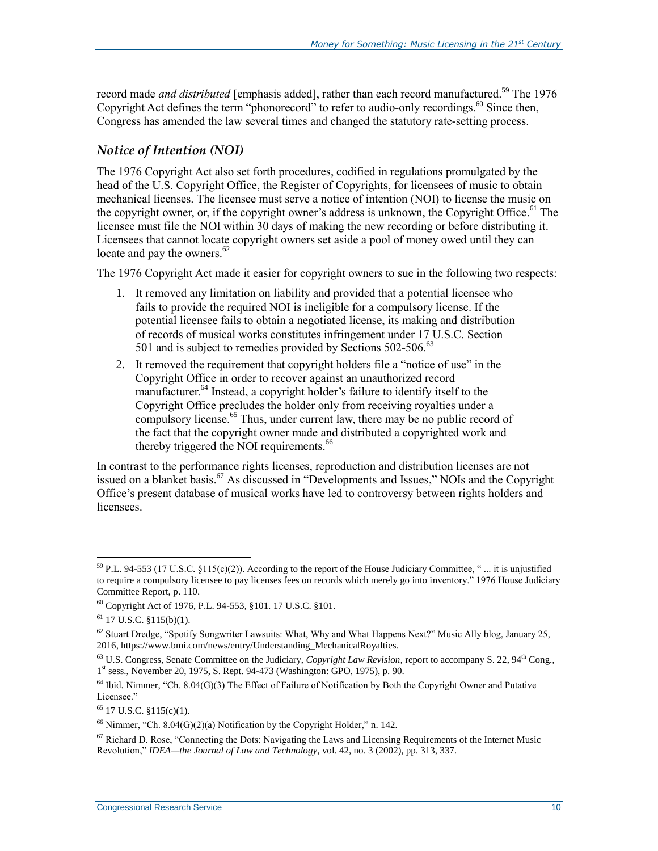record made *and distributed* [emphasis added], rather than each record manufactured.<sup>59</sup> The 1976 Copyright Act defines the term "phonorecord" to refer to audio-only recordings.<sup>60</sup> Since then, Congress has amended the law several times and changed the statutory rate-setting process.

#### <span id="page-12-0"></span>*Notice of Intention (NOI)*

The 1976 Copyright Act also set forth procedures, codified in regulations promulgated by the head of the U.S. Copyright Office, the Register of Copyrights, for licensees of music to obtain mechanical licenses. The licensee must serve a notice of intention (NOI) to license the music on the copyright owner, or, if the copyright owner's address is unknown, the Copyright Office. <sup>61</sup> The licensee must file the NOI within 30 days of making the new recording or before distributing it. Licensees that cannot locate copyright owners set aside a pool of money owed until they can locate and pay the owners. $62$ 

The 1976 Copyright Act made it easier for copyright owners to sue in the following two respects:

- 1. It removed any limitation on liability and provided that a potential licensee who fails to provide the required NOI is ineligible for a compulsory license. If the potential licensee fails to obtain a negotiated license, its making and distribution of records of musical works constitutes infringement under 17 U.S.C. Section 501 and is subject to remedies provided by Sections 502-506.<sup>63</sup>
- 2. It removed the requirement that copyright holders file a "notice of use" in the Copyright Office in order to recover against an unauthorized record manufacturer.<sup>64</sup> Instead, a copyright holder's failure to identify itself to the Copyright Office precludes the holder only from receiving royalties under a compulsory license.<sup>65</sup> Thus, under current law, there may be no public record of the fact that the copyright owner made and distributed a copyrighted work and thereby triggered the NOI requirements.<sup>66</sup>

In contrast to the performance rights licenses, reproduction and distribution licenses are not issued on a blanket basis.<sup>67</sup> As discussed in ["Developments and Issues,](#page-25-0)" NOIs and the Copyright Office's present database of musical works have led to controversy between rights holders and licensees.

<sup>&</sup>lt;sup>59</sup> P.L. 94-553 (17 U.S.C. §115(c)(2)). According to the report of the House Judiciary Committee, "... it is unjustified to require a compulsory licensee to pay licenses fees on records which merely go into inventory." 1976 House Judiciary Committee Report, p. 110.

<sup>60</sup> Copyright Act of 1976, P.L. 94-553, §101. 17 U.S.C. §101.

 $61$  17 U.S.C. §115(b)(1).

 $62$  Stuart Dredge, "Spotify Songwriter Lawsuits: What, Why and What Happens Next?" Music Ally blog, January 25, 2016, https://www.bmi.com/news/entry/Understanding\_MechanicalRoyalties.

 $^{63}$  U.S. Congress, Senate Committee on the Judiciary, *Copyright Law Revision*, report to accompany S. 22,  $94<sup>th</sup>$  Cong., 1 st sess., November 20, 1975, S. Rept. 94-473 (Washington: GPO, 1975), p. 90.

 $64$  Ibid. Nimmer, "Ch. 8.04(G)(3) The Effect of Failure of Notification by Both the Copyright Owner and Putative Licensee."

 $65$  17 U.S.C. §115(c)(1).

 $66$  Nimmer, "Ch. 8.04(G)(2)(a) Notification by the Copyright Holder," n. 142.

<sup>&</sup>lt;sup>67</sup> Richard D. Rose, "Connecting the Dots: Navigating the Laws and Licensing Requirements of the Internet Music Revolution," *IDEA—the Journal of Law and Technology*, vol. 42, no. 3 (2002), pp. 313, 337.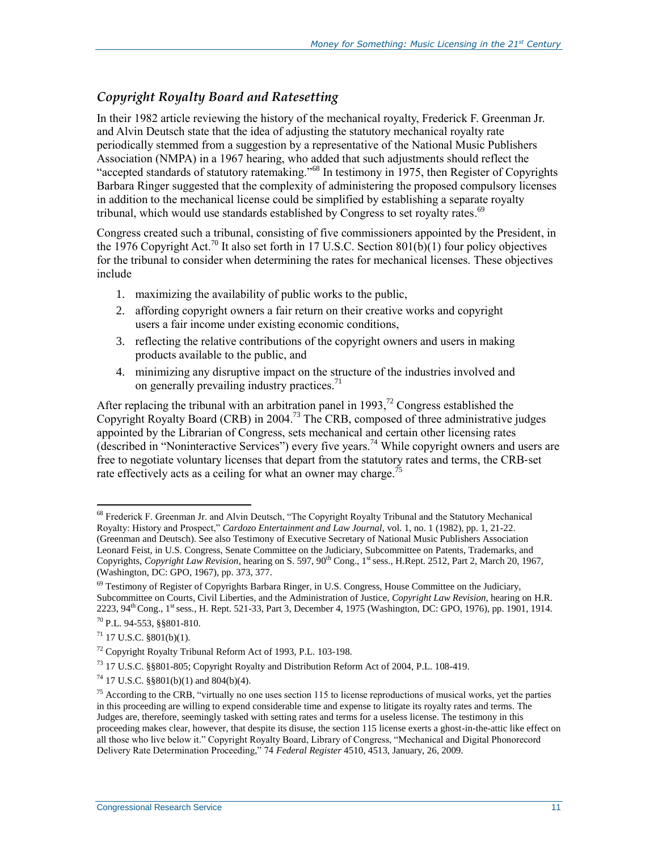### *Copyright Royalty Board and Ratesetting*

In their 1982 article reviewing the history of the mechanical royalty, Frederick F. Greenman Jr. and Alvin Deutsch state that the idea of adjusting the statutory mechanical royalty rate periodically stemmed from a suggestion by a representative of the National Music Publishers Association (NMPA) in a 1967 hearing, who added that such adjustments should reflect the "accepted standards of statutory ratemaking."<sup>68</sup> In testimony in 1975, then Register of Copyrights Barbara Ringer suggested that the complexity of administering the proposed compulsory licenses in addition to the mechanical license could be simplified by establishing a separate royalty tribunal, which would use standards established by Congress to set royalty rates.<sup>69</sup>

Congress created such a tribunal, consisting of five commissioners appointed by the President, in the 1976 Copyright Act.<sup>70</sup> It also set forth in 17 U.S.C. Section 801(b)(1) four policy objectives for the tribunal to consider when determining the rates for mechanical licenses. These objectives include

- 1. maximizing the availability of public works to the public,
- 2. affording copyright owners a fair return on their creative works and copyright users a fair income under existing economic conditions,
- 3. reflecting the relative contributions of the copyright owners and users in making products available to the public, and
- 4. minimizing any disruptive impact on the structure of the industries involved and on generally prevailing industry practices. $<sup>71</sup>$ </sup>

After replacing the tribunal with an arbitration panel in 1993,<sup>72</sup> Congress established the Copyright Royalty Board (CRB) in 2004. <sup>73</sup> The CRB, composed of three administrative judges appointed by the Librarian of Congress, sets mechanical and certain other licensing rates (described in ["Noninteractive Services"](#page-19-0)) every five years.<sup>74</sup> While copyright owners and users are free to negotiate voluntary licenses that depart from the statutory rates and terms, the CRB‐set rate effectively acts as a ceiling for what an owner may charge.<sup>75</sup>

<sup>68</sup> Frederick F. Greenman Jr. and Alvin Deutsch, "The Copyright Royalty Tribunal and the Statutory Mechanical Royalty: History and Prospect," *Cardozo Entertainment and Law Journal*, vol. 1, no. 1 (1982), pp. 1, 21-22. (Greenman and Deutsch). See also Testimony of Executive Secretary of National Music Publishers Association Leonard Feist, in U.S. Congress, Senate Committee on the Judiciary, Subcommittee on Patents, Trademarks, and Copyrights, *Copyright Law Revision*, hearing on S. 597, 90<sup>th</sup> Cong., 1<sup>st</sup> sess., H.Rept. 2512, Part 2, March 20, 1967, (Washington, DC: GPO, 1967), pp. 373, 377.

 $^{69}$  Testimony of Register of Copyrights Barbara Ringer, in U.S. Congress, House Committee on the Judiciary, Subcommittee on Courts, Civil Liberties, and the Administration of Justice, *Copyright Law Revision*, hearing on H.R. 2223, 94<sup>th</sup> Cong., 1<sup>st</sup> sess., H. Rept. 521-33, Part 3, December 4, 1975 (Washington, DC: GPO, 1976), pp. 1901, 1914.  $70$  P.L. 94-553,  $88801 - 810$ .

 $71$  17 U.S.C. §801(b)(1).

<sup>72</sup> Copyright Royalty Tribunal Reform Act of 1993, P.L. 103-198.

<sup>73</sup> 17 U.S.C. §§801-805; Copyright Royalty and Distribution Reform Act of 2004, P.L. 108-419.

<sup>74</sup> 17 U.S.C. §§801(b)(1) and 804(b)(4).

<sup>&</sup>lt;sup>75</sup> According to the CRB, "virtually no one uses section 115 to license reproductions of musical works, yet the parties in this proceeding are willing to expend considerable time and expense to litigate its royalty rates and terms. The Judges are, therefore, seemingly tasked with setting rates and terms for a useless license. The testimony in this proceeding makes clear, however, that despite its disuse, the section 115 license exerts a ghost-in-the-attic like effect on all those who live below it." Copyright Royalty Board, Library of Congress, "Mechanical and Digital Phonorecord Delivery Rate Determination Proceeding," 74 *Federal Register* 4510, 4513, January, 26, 2009.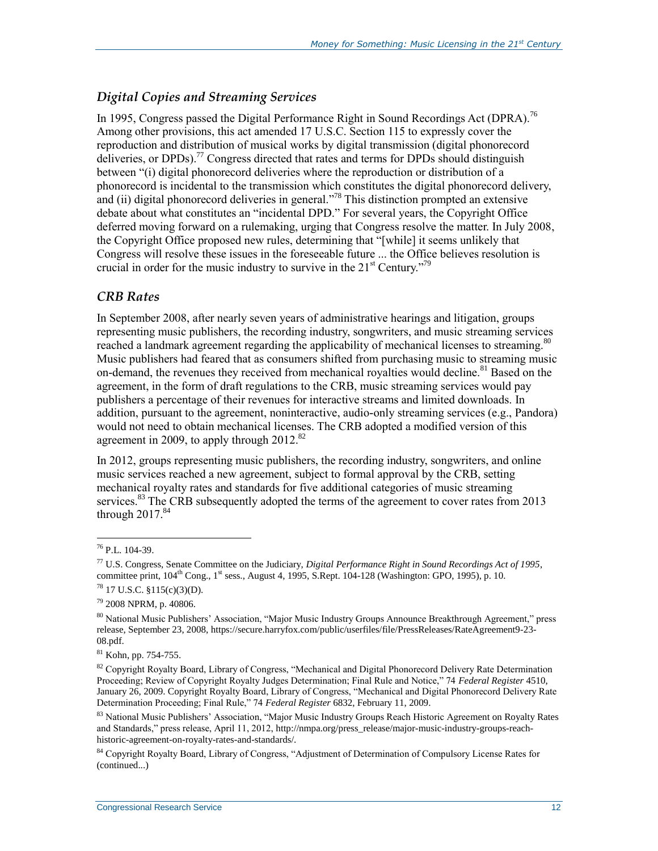### *Digital Copies and Streaming Services*

In 1995, Congress passed the Digital Performance Right in Sound Recordings Act (DPRA).<sup>76</sup> Among other provisions, this act amended 17 U.S.C. Section 115 to expressly cover the reproduction and distribution of musical works by digital transmission (digital phonorecord deliveries, or DPDs).<sup>77</sup> Congress directed that rates and terms for DPDs should distinguish between "(i) digital phonorecord deliveries where the reproduction or distribution of a phonorecord is incidental to the transmission which constitutes the digital phonorecord delivery, and (ii) digital phonorecord deliveries in general.<sup> $.78$ </sup> This distinction prompted an extensive debate about what constitutes an "incidental DPD." For several years, the Copyright Office deferred moving forward on a rulemaking, urging that Congress resolve the matter. In July 2008, the Copyright Office proposed new rules, determining that "[while] it seems unlikely that Congress will resolve these issues in the foreseeable future ... the Office believes resolution is crucial in order for the music industry to survive in the  $21<sup>st</sup>$  Century.<sup>79</sup>

#### *CRB Rates*

In September 2008, after nearly seven years of administrative hearings and litigation, groups representing music publishers, the recording industry, songwriters, and music streaming services reached a landmark agreement regarding the applicability of mechanical licenses to streaming.<sup>80</sup> Music publishers had feared that as consumers shifted from purchasing music to streaming music on-demand, the revenues they received from mechanical royalties would decline.<sup>81</sup> Based on the agreement, in the form of draft regulations to the CRB, music streaming services would pay publishers a percentage of their revenues for interactive streams and limited downloads. In addition, pursuant to the agreement, noninteractive, audio-only streaming services (e.g., Pandora) would not need to obtain mechanical licenses. The CRB adopted a modified version of this agreement in 2009, to apply through  $2012$ .<sup>82</sup>

In 2012, groups representing music publishers, the recording industry, songwriters, and online music services reached a new agreement, subject to formal approval by the CRB, setting mechanical royalty rates and standards for five additional categories of music streaming services. $83$  The CRB subsequently adopted the terms of the agreement to cover rates from 2013 through  $2017.^{84}$ 

<sup>76</sup> P.L. 104-39.

<sup>77</sup> U.S. Congress, Senate Committee on the Judiciary, *Digital Performance Right in Sound Recordings Act of 1995*, committee print,  $104<sup>th</sup>$  Cong.,  $1<sup>st</sup>$  sess., August 4, 1995, S.Rept.  $104-128$  (Washington: GPO, 1995), p. 10.

 $78$  17 U.S.C. §115(c)(3)(D).

<sup>79</sup> 2008 NPRM, p. 40806.

<sup>80</sup> National Music Publishers' Association, "Major Music Industry Groups Announce Breakthrough Agreement," press release, September 23, 2008, https://secure.harryfox.com/public/userfiles/file/PressReleases/RateAgreement9-23- 08.pdf.

<sup>81</sup> Kohn, pp. 754-755.

 $82$  Copyright Royalty Board, Library of Congress, "Mechanical and Digital Phonorecord Delivery Rate Determination Proceeding; Review of Copyright Royalty Judges Determination; Final Rule and Notice," 74 *Federal Register* 4510, January 26, 2009. Copyright Royalty Board, Library of Congress, "Mechanical and Digital Phonorecord Delivery Rate Determination Proceeding; Final Rule," 74 *Federal Register* 6832, February 11, 2009.

<sup>&</sup>lt;sup>83</sup> National Music Publishers' Association, "Major Music Industry Groups Reach Historic Agreement on Royalty Rates and Standards," press release, April 11, 2012, http://nmpa.org/press\_release/major-music-industry-groups-reachhistoric-agreement-on-royalty-rates-and-standards/.

<sup>&</sup>lt;sup>84</sup> Copyright Royalty Board, Library of Congress, "Adjustment of Determination of Compulsory License Rates for (continued...)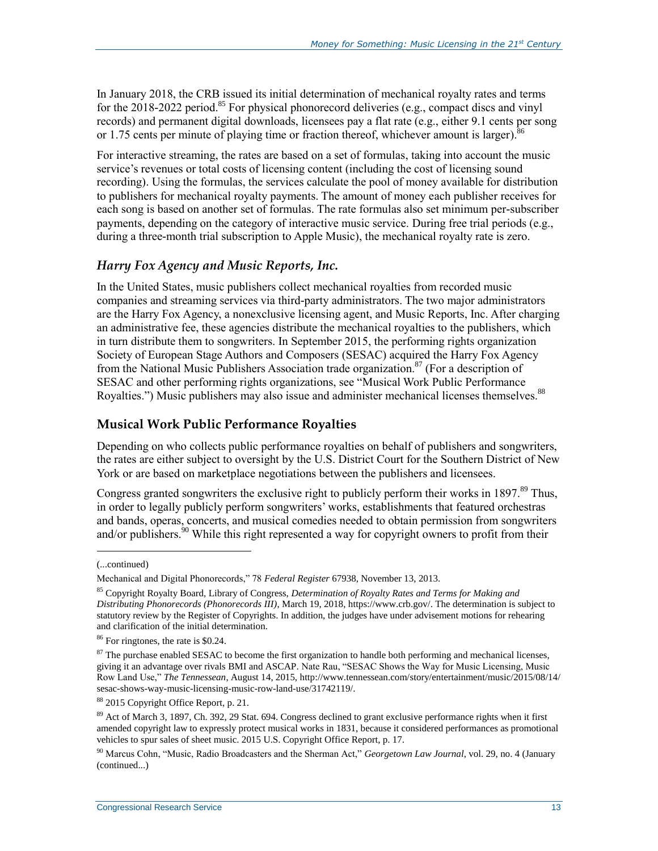In January 2018, the CRB issued its initial determination of mechanical royalty rates and terms for the  $2018-2022$  period.<sup>85</sup> For physical phonorecord deliveries (e.g., compact discs and vinyl records) and permanent digital downloads, licensees pay a flat rate (e.g., either 9.1 cents per song or 1.75 cents per minute of playing time or fraction thereof, whichever amount is larger). $86$ 

For interactive streaming, the rates are based on a set of formulas, taking into account the music service's revenues or total costs of licensing content (including the cost of licensing sound recording). Using the formulas, the services calculate the pool of money available for distribution to publishers for mechanical royalty payments. The amount of money each publisher receives for each song is based on another set of formulas. The rate formulas also set minimum per-subscriber payments, depending on the category of interactive music service. During free trial periods (e.g., during a three-month trial subscription to Apple Music), the mechanical royalty rate is zero.

#### *Harry Fox Agency and Music Reports, Inc.*

In the United States, music publishers collect mechanical royalties from recorded music companies and streaming services via third-party administrators. The two major administrators are the Harry Fox Agency, a nonexclusive licensing agent, and Music Reports, Inc. After charging an administrative fee, these agencies distribute the mechanical royalties to the publishers, which in turn distribute them to songwriters. In September 2015, the performing rights organization Society of European Stage Authors and Composers (SESAC) acquired the Harry Fox Agency from the National Music Publishers Association trade organization.<sup>87</sup> (For a description of SESAC and other performing rights organizations, see ["Musical Work Public Performance](#page-15-0)  [Royalties.](#page-15-0)") Music publishers may also issue and administer mechanical licenses themselves.<sup>88</sup>

### <span id="page-15-0"></span>**Musical Work Public Performance Royalties**

Depending on who collects public performance royalties on behalf of publishers and songwriters, the rates are either subject to oversight by the U.S. District Court for the Southern District of New York or are based on marketplace negotiations between the publishers and licensees.

Congress granted songwriters the exclusive right to publicly perform their works in 1897.<sup>89</sup> Thus, in order to legally publicly perform songwriters' works, establishments that featured orchestras and bands, operas, concerts, and musical comedies needed to obtain permission from songwriters and/or publishers.<sup>90</sup> While this right represented a way for copyright owners to profit from their

l

<sup>(...</sup>continued)

Mechanical and Digital Phonorecords," 78 *Federal Register* 67938, November 13, 2013.

<sup>85</sup> Copyright Royalty Board, Library of Congress, *Determination of Royalty Rates and Terms for Making and Distributing Phonorecords (Phonorecords III)*, March 19, 2018, https://www.crb.gov/. The determination is subject to statutory review by the Register of Copyrights. In addition, the judges have under advisement motions for rehearing and clarification of the initial determination.

<sup>86</sup> For ringtones, the rate is \$0.24.

 $87$  The purchase enabled SESAC to become the first organization to handle both performing and mechanical licenses, giving it an advantage over rivals BMI and ASCAP. Nate Rau, "SESAC Shows the Way for Music Licensing, Music Row Land Use," *The Tennessean*, August 14, 2015, http://www.tennessean.com/story/entertainment/music/2015/08/14/ sesac-shows-way-music-licensing-music-row-land-use/31742119/.

<sup>88</sup> 2015 Copyright Office Report, p. 21.

<sup>89</sup> Act of March 3, 1897, Ch. 392, 29 Stat. 694. Congress declined to grant exclusive performance rights when it first amended copyright law to expressly protect musical works in 1831, because it considered performances as promotional vehicles to spur sales of sheet music. 2015 U.S. Copyright Office Report, p. 17.

<sup>90</sup> Marcus Cohn, "Music, Radio Broadcasters and the Sherman Act," *Georgetown Law Journal*, vol. 29, no. 4 (January (continued...)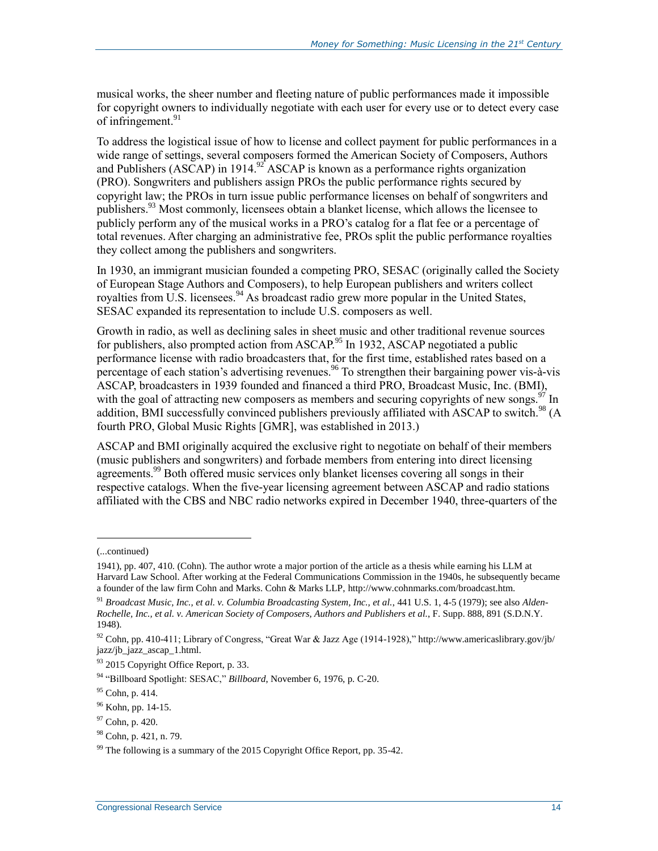musical works, the sheer number and fleeting nature of public performances made it impossible for copyright owners to individually negotiate with each user for every use or to detect every case of infringement.<sup>91</sup>

To address the logistical issue of how to license and collect payment for public performances in a wide range of settings, several composers formed the American Society of Composers, Authors and Publishers (ASCAP) in 1914.<sup>92</sup> ASCAP is known as a performance rights organization (PRO). Songwriters and publishers assign PROs the public performance rights secured by copyright law; the PROs in turn issue public performance licenses on behalf of songwriters and publishers. <sup>93</sup> Most commonly, licensees obtain a blanket license, which allows the licensee to publicly perform any of the musical works in a PRO's catalog for a flat fee or a percentage of total revenues. After charging an administrative fee, PROs split the public performance royalties they collect among the publishers and songwriters.

In 1930, an immigrant musician founded a competing PRO, SESAC (originally called the Society of European Stage Authors and Composers), to help European publishers and writers collect royalties from U.S. licensees.<sup>94</sup> As broadcast radio grew more popular in the United States, SESAC expanded its representation to include U.S. composers as well.

Growth in radio, as well as declining sales in sheet music and other traditional revenue sources for publishers, also prompted action from  $ASCAP<sup>95</sup>$  In 1932, ASCAP negotiated a public performance license with radio broadcasters that, for the first time, established rates based on a percentage of each station's advertising revenues.<sup>96</sup> To strengthen their bargaining power vis-à-vis ASCAP, broadcasters in 1939 founded and financed a third PRO, Broadcast Music, Inc. (BMI), with the goal of attracting new composers as members and securing copyrights of new songs.  $97 \text{ In}$ addition, BMI successfully convinced publishers previously affiliated with ASCAP to switch.<sup>98</sup> (A fourth PRO, Global Music Rights [GMR], was established in 2013.)

ASCAP and BMI originally acquired the exclusive right to negotiate on behalf of their members (music publishers and songwriters) and forbade members from entering into direct licensing agreements.<sup>99</sup> Both offered music services only blanket licenses covering all songs in their respective catalogs. When the five-year licensing agreement between ASCAP and radio stations affiliated with the CBS and NBC radio networks expired in December 1940, three-quarters of the

l

<sup>(...</sup>continued)

<sup>1941),</sup> pp. 407, 410. (Cohn). The author wrote a major portion of the article as a thesis while earning his LLM at Harvard Law School. After working at the Federal Communications Commission in the 1940s, he subsequently became a founder of the law firm Cohn and Marks. Cohn & Marks LLP, http://www.cohnmarks.com/broadcast.htm.

<sup>91</sup> *Broadcast Music, Inc., et al. v. Columbia Broadcasting System, Inc., et al.*, 441 U.S. 1, 4-5 (1979); see also *Alden-Rochelle, Inc., et al. v. American Society of Composers, Authors and Publishers et al.*, F. Supp. 888, 891 (S.D.N.Y. 1948).

<sup>&</sup>lt;sup>92</sup> Cohn, pp. 410-411; Library of Congress, "Great War & Jazz Age (1914-1928)," http://www.americaslibrary.gov/jb/ jazz/jb\_jazz\_ascap\_1.html.

<sup>93 2015</sup> Copyright Office Report, p. 33.

<sup>94</sup> "Billboard Spotlight: SESAC," *Billboard*, November 6, 1976, p. C-20.

 $95$  Cohn, p. 414.

<sup>&</sup>lt;sup>96</sup> Kohn, pp. 14-15.

<sup>97</sup> Cohn, p. 420.

<sup>98</sup> Cohn, p. 421, n. 79.

 $99$  The following is a summary of the 2015 Copyright Office Report, pp. 35-42.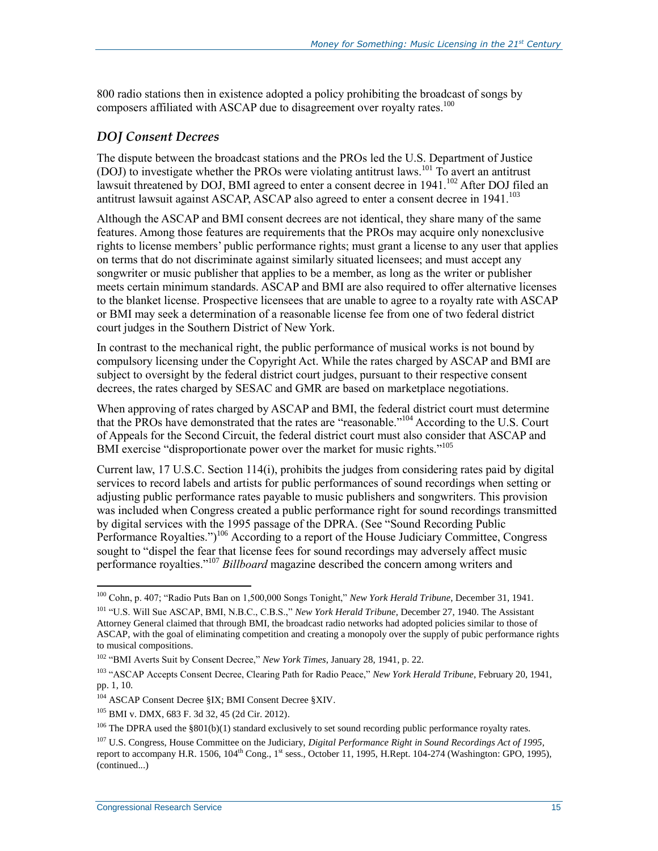800 radio stations then in existence adopted a policy prohibiting the broadcast of songs by composers affiliated with ASCAP due to disagreement over royalty rates.<sup>100</sup>

### <span id="page-17-0"></span>*DOJ Consent Decrees*

The dispute between the broadcast stations and the PROs led the U.S. Department of Justice (DOJ) to investigate whether the PROs were violating antitrust laws.<sup>101</sup> To avert an antitrust lawsuit threatened by DOJ, BMI agreed to enter a consent decree in 1941.<sup>102</sup> After DOJ filed an antitrust lawsuit against ASCAP, ASCAP also agreed to enter a consent decree in 1941.<sup>103</sup>

Although the ASCAP and BMI consent decrees are not identical, they share many of the same features. Among those features are requirements that the PROs may acquire only nonexclusive rights to license members' public performance rights; must grant a license to any user that applies on terms that do not discriminate against similarly situated licensees; and must accept any songwriter or music publisher that applies to be a member, as long as the writer or publisher meets certain minimum standards. ASCAP and BMI are also required to offer alternative licenses to the blanket license. Prospective licensees that are unable to agree to a royalty rate with ASCAP or BMI may seek a determination of a reasonable license fee from one of two federal district court judges in the Southern District of New York.

In contrast to the mechanical right, the public performance of musical works is not bound by compulsory licensing under the Copyright Act. While the rates charged by ASCAP and BMI are subject to oversight by the federal district court judges, pursuant to their respective consent decrees, the rates charged by SESAC and GMR are based on marketplace negotiations.

When approving of rates charged by ASCAP and BMI, the federal district court must determine that the PROs have demonstrated that the rates are "reasonable."<sup>104</sup> According to the U.S. Court of Appeals for the Second Circuit, the federal district court must also consider that ASCAP and BMI exercise "disproportionate power over the market for music rights."<sup>105</sup>

Current law, 17 U.S.C. Section 114(i), prohibits the judges from considering rates paid by digital services to record labels and artists for public performances of sound recordings when setting or adjusting public performance rates payable to music publishers and songwriters. This provision was included when Congress created a public performance right for sound recordings transmitted by digital services with the 1995 passage of the DPRA. (See ["Sound Recording Public](#page-19-1)  [Performance Royalties.](#page-19-1)")<sup>106</sup> According to a report of the House Judiciary Committee, Congress sought to "dispel the fear that license fees for sound recordings may adversely affect music performance royalties." <sup>107</sup> *Billboard* magazine described the concern among writers and

<sup>100</sup> Cohn, p. 407; "Radio Puts Ban on 1,500,000 Songs Tonight," *New York Herald Tribune*, December 31, 1941.

<sup>101</sup> "U.S. Will Sue ASCAP, BMI, N.B.C., C.B.S.," *New York Herald Tribune*, December 27, 1940. The Assistant Attorney General claimed that through BMI, the broadcast radio networks had adopted policies similar to those of ASCAP, with the goal of eliminating competition and creating a monopoly over the supply of pubic performance rights to musical compositions.

<sup>102</sup> "BMI Averts Suit by Consent Decree," *New York Times*, January 28, 1941, p. 22.

<sup>103</sup> "ASCAP Accepts Consent Decree, Clearing Path for Radio Peace," *New York Herald Tribune*, February 20, 1941, pp. 1, 10.

<sup>104</sup> ASCAP Consent Decree §IX; BMI Consent Decree §XIV.

<sup>105</sup> BMI v. DMX, 683 F. 3d 32, 45 (2d Cir. 2012).

<sup>&</sup>lt;sup>106</sup> The DPRA used the §801(b)(1) standard exclusively to set sound recording public performance royalty rates.

<sup>107</sup> U.S. Congress, House Committee on the Judiciary, *Digital Performance Right in Sound Recordings Act of 1995*, report to accompany H.R. 1506, 104<sup>th</sup> Cong., 1<sup>st</sup> sess., October 11, 1995, H.Rept. 104-274 (Washington: GPO, 1995), (continued...)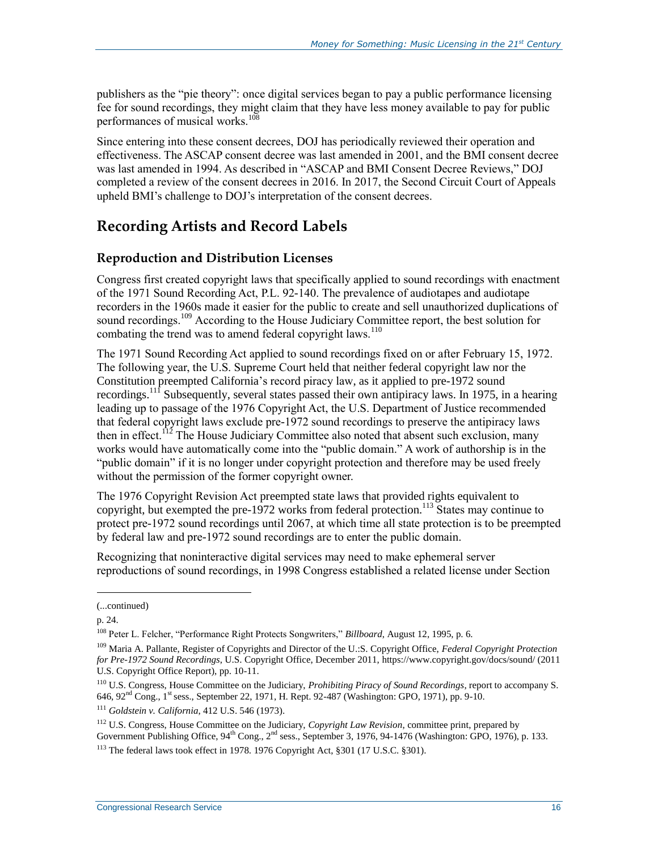publishers as the "pie theory": once digital services began to pay a public performance licensing fee for sound recordings, they might claim that they have less money available to pay for public performances of musical works.<sup>108</sup>

Since entering into these consent decrees, DOJ has periodically reviewed their operation and effectiveness. The ASCAP consent decree was last amended in 2001, and the BMI consent decree was last amended in 1994. As described in ["ASCAP and BMI Consent Decree Reviews,](#page-27-0)" DOJ completed a review of the consent decrees in 2016. In 2017, the Second Circuit Court of Appeals upheld BMI's challenge to DOJ's interpretation of the consent decrees.

### **Recording Artists and Record Labels**

#### <span id="page-18-0"></span>**Reproduction and Distribution Licenses**

Congress first created copyright laws that specifically applied to sound recordings with enactment of the 1971 Sound Recording Act, P.L. 92-140. The prevalence of audiotapes and audiotape recorders in the 1960s made it easier for the public to create and sell unauthorized duplications of sound recordings.<sup>109</sup> According to the House Judiciary Committee report, the best solution for combating the trend was to amend federal copyright laws.<sup>110</sup>

The 1971 Sound Recording Act applied to sound recordings fixed on or after February 15, 1972. The following year, the U.S. Supreme Court held that neither federal copyright law nor the Constitution preempted California's record piracy law, as it applied to pre-1972 sound recordings.<sup>111</sup> Subsequently, several states passed their own antipiracy laws. In 1975, in a hearing leading up to passage of the 1976 Copyright Act, the U.S. Department of Justice recommended that federal copyright laws exclude pre-1972 sound recordings to preserve the antipiracy laws then in effect.<sup>112</sup> The House Judiciary Committee also noted that absent such exclusion, many works would have automatically come into the "public domain." A work of authorship is in the "public domain" if it is no longer under copyright protection and therefore may be used freely without the permission of the former copyright owner.

The 1976 Copyright Revision Act preempted state laws that provided rights equivalent to copyright, but exempted the pre-1972 works from federal protection.<sup>113</sup> States may continue to protect pre-1972 sound recordings until 2067, at which time all state protection is to be preempted by federal law and pre-1972 sound recordings are to enter the public domain.

Recognizing that noninteractive digital services may need to make ephemeral server reproductions of sound recordings, in 1998 Congress established a related license under Section

<sup>(...</sup>continued)

p. 24.

<sup>108</sup> Peter L. Felcher, "Performance Right Protects Songwriters," *Billboard*, August 12, 1995, p. 6.

<sup>109</sup> Maria A. Pallante, Register of Copyrights and Director of the U.:S. Copyright Office, *Federal Copyright Protection for Pre-1972 Sound Recordings*, U.S. Copyright Office, December 2011, https://www.copyright.gov/docs/sound/ (2011 U.S. Copyright Office Report), pp. 10-11.

<sup>110</sup> U.S. Congress, House Committee on the Judiciary, *Prohibiting Piracy of Sound Recordings*, report to accompany S. 646, 92<sup>nd</sup> Cong., 1<sup>st</sup> sess., September 22, 1971, H. Rept. 92-487 (Washington: GPO, 1971), pp. 9-10.

<sup>111</sup> *Goldstein v. California*, 412 U.S. 546 (1973).

<sup>112</sup> U.S. Congress, House Committee on the Judiciary, *Copyright Law Revision*, committee print, prepared by Government Publishing Office, 94<sup>th</sup> Cong., 2<sup>nd</sup> sess., September 3, 1976, 94-1476 (Washington: GPO, 1976), p. 133. <sup>113</sup> The federal laws took effect in 1978. 1976 Copyright Act, §301 (17 U.S.C. §301).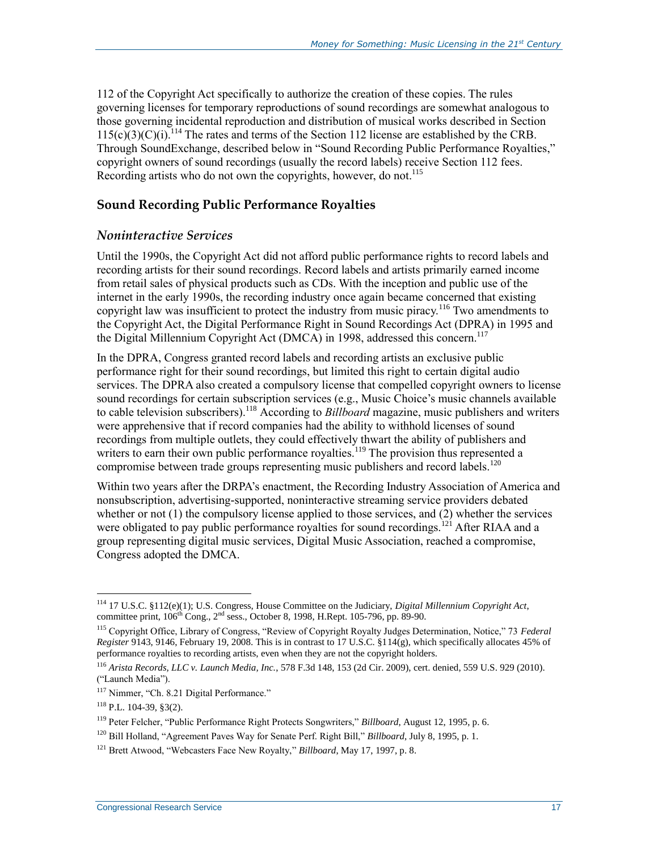112 of the Copyright Act specifically to authorize the creation of these copies. The rules governing licenses for temporary reproductions of sound recordings are somewhat analogous to those governing incidental reproduction and distribution of musical works described in Section  $115(c)(3)(c)(i)$ .<sup>114</sup> The rates and terms of the Section 112 license are established by the CRB. Through SoundExchange, described below in ["Sound Recording Public Performance Royalties,](#page-19-1)" copyright owners of sound recordings (usually the record labels) receive Section 112 fees. Recording artists who do not own the copyrights, however, do not. 115

### <span id="page-19-1"></span>**Sound Recording Public Performance Royalties**

#### <span id="page-19-0"></span>*Noninteractive Services*

Until the 1990s, the Copyright Act did not afford public performance rights to record labels and recording artists for their sound recordings. Record labels and artists primarily earned income from retail sales of physical products such as CDs. With the inception and public use of the internet in the early 1990s, the recording industry once again became concerned that existing copyright law was insufficient to protect the industry from music piracy.<sup>116</sup> Two amendments to the Copyright Act, the Digital Performance Right in Sound Recordings Act (DPRA) in 1995 and the Digital Millennium Copyright Act (DMCA) in 1998, addressed this concern. 117

In the DPRA, Congress granted record labels and recording artists an exclusive public performance right for their sound recordings, but limited this right to certain digital audio services. The DPRA also created a compulsory license that compelled copyright owners to license sound recordings for certain subscription services (e.g., Music Choice's music channels available to cable television subscribers).<sup>118</sup> According to *Billboard* magazine, music publishers and writers were apprehensive that if record companies had the ability to withhold licenses of sound recordings from multiple outlets, they could effectively thwart the ability of publishers and writers to earn their own public performance royalties.<sup>119</sup> The provision thus represented a compromise between trade groups representing music publishers and record labels.<sup>120</sup>

Within two years after the DRPA's enactment, the Recording Industry Association of America and nonsubscription, advertising-supported, noninteractive streaming service providers debated whether or not  $(1)$  the compulsory license applied to those services, and  $(2)$  whether the services were obligated to pay public performance royalties for sound recordings.<sup>121</sup> After RIAA and a group representing digital music services, Digital Music Association, reached a compromise, Congress adopted the DMCA.

<sup>114</sup> 17 U.S.C. §112(e)(1); U.S. Congress, House Committee on the Judiciary, *Digital Millennium Copyright Act*, committee print,  $106^{th}$  Cong.,  $2^{nd}$  sess., October 8, 1998, H.Rept. 105-796, pp. 89-90.

<sup>115</sup> Copyright Office, Library of Congress, "Review of Copyright Royalty Judges Determination, Notice," 73 *Federal Register* 9143, 9146, February 19, 2008. This is in contrast to 17 U.S.C. §114(g), which specifically allocates 45% of performance royalties to recording artists, even when they are not the copyright holders.

<sup>116</sup> *Arista Records, LLC v. Launch Media, Inc.*, 578 F.3d 148, 153 (2d Cir. 2009), cert. denied, 559 U.S. 929 (2010). ("Launch Media").

<sup>&</sup>lt;sup>117</sup> Nimmer, "Ch. 8.21 Digital Performance."

 $118$  P.L. 104-39, §3(2).

<sup>119</sup> Peter Felcher, "Public Performance Right Protects Songwriters," *Billboard*, August 12, 1995, p. 6.

<sup>120</sup> Bill Holland, "Agreement Paves Way for Senate Perf. Right Bill," *Billboard*, July 8, 1995, p. 1.

<sup>121</sup> Brett Atwood, "Webcasters Face New Royalty," *Billboard*, May 17, 1997, p. 8.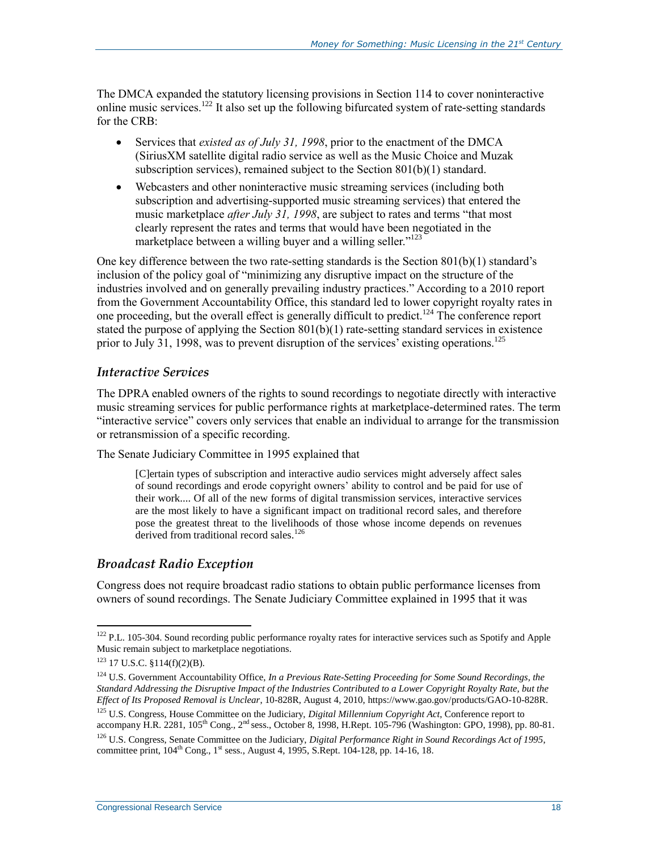The DMCA expanded the statutory licensing provisions in Section 114 to cover noninteractive online music services.<sup>122</sup> It also set up the following bifurcated system of rate-setting standards for the CRB:

- Services that *existed as of July 31, 1998*, prior to the enactment of the DMCA (SiriusXM satellite digital radio service as well as the Music Choice and Muzak subscription services), remained subject to the Section 801(b)(1) standard.
- Webcasters and other noninteractive music streaming services (including both subscription and advertising-supported music streaming services) that entered the music marketplace *after July 31, 1998*, are subject to rates and terms "that most clearly represent the rates and terms that would have been negotiated in the marketplace between a willing buyer and a willing seller."<sup>123</sup>

One key difference between the two rate-setting standards is the Section  $801(b)(1)$  standard's inclusion of the policy goal of "minimizing any disruptive impact on the structure of the industries involved and on generally prevailing industry practices." According to a 2010 report from the Government Accountability Office, this standard led to lower copyright royalty rates in one proceeding, but the overall effect is generally difficult to predict.<sup>124</sup> The conference report stated the purpose of applying the Section 801(b)(1) rate-setting standard services in existence prior to July 31, 1998, was to prevent disruption of the services' existing operations.<sup>125</sup>

#### *Interactive Services*

The DPRA enabled owners of the rights to sound recordings to negotiate directly with interactive music streaming services for public performance rights at marketplace-determined rates. The term "interactive service" covers only services that enable an individual to arrange for the transmission or retransmission of a specific recording.

The Senate Judiciary Committee in 1995 explained that

[C]ertain types of subscription and interactive audio services might adversely affect sales of sound recordings and erode copyright owners' ability to control and be paid for use of their work.... Of all of the new forms of digital transmission services, interactive services are the most likely to have a significant impact on traditional record sales, and therefore pose the greatest threat to the livelihoods of those whose income depends on revenues derived from traditional record sales.<sup>126</sup>

#### <span id="page-20-0"></span>*Broadcast Radio Exception*

Congress does not require broadcast radio stations to obtain public performance licenses from owners of sound recordings. The Senate Judiciary Committee explained in 1995 that it was

<sup>&</sup>lt;sup>122</sup> P.L. 105-304. Sound recording public performance royalty rates for interactive services such as Spotify and Apple Music remain subject to marketplace negotiations.

 $123$  17 U.S.C. §114(f)(2)(B).

<sup>124</sup> U.S. Government Accountability Office, *In a Previous Rate-Setting Proceeding for Some Sound Recordings, the Standard Addressing the Disruptive Impact of the Industries Contributed to a Lower Copyright Royalty Rate, but the Effect of Its Proposed Removal is Unclear*, 10-828R, August 4, 2010, https://www.gao.gov/products/GAO-10-828R.

<sup>125</sup> U.S. Congress, House Committee on the Judiciary, *Digital Millennium Copyright Act*, Conference report to accompany H.R. 2281,  $105^{th}$  Cong.,  $2^{nd}$  sess., October 8, 1998, H.Rept. 105-796 (Washington: GPO, 1998), pp. 80-81.

<sup>126</sup> U.S. Congress, Senate Committee on the Judiciary, *Digital Performance Right in Sound Recordings Act of 1995*, committee print,  $104^{\text{th}}$  Cong.,  $1^{\text{st}}$  sess., August 4, 1995, S.Rept. 104-128, pp. 14-16, 18.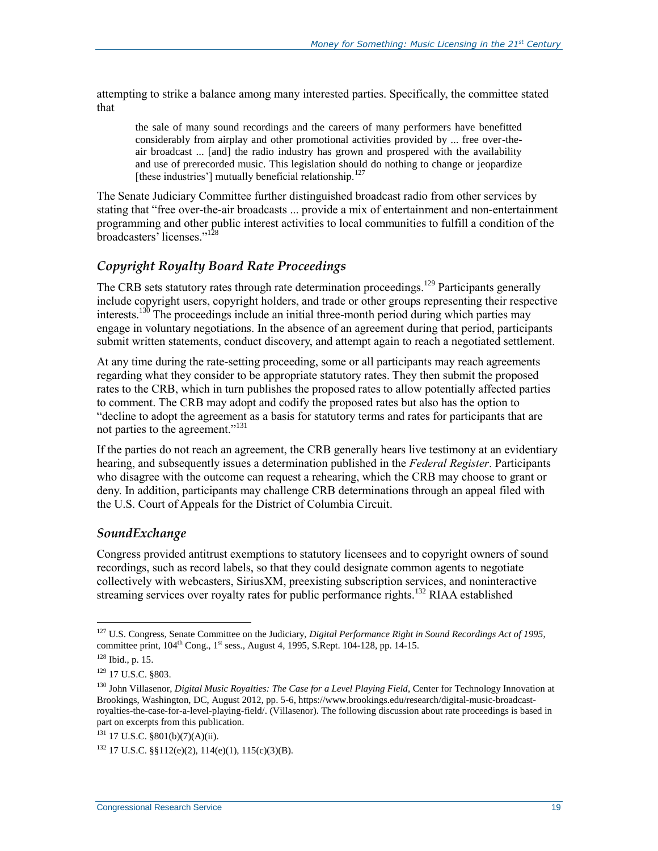attempting to strike a balance among many interested parties. Specifically, the committee stated that

the sale of many sound recordings and the careers of many performers have benefitted considerably from airplay and other promotional activities provided by ... free over-theair broadcast ... [and] the radio industry has grown and prospered with the availability and use of prerecorded music. This legislation should do nothing to change or jeopardize [these industries'] mutually beneficial relationship.<sup>127</sup>

The Senate Judiciary Committee further distinguished broadcast radio from other services by stating that "free over-the-air broadcasts ... provide a mix of entertainment and non-entertainment programming and other public interest activities to local communities to fulfill a condition of the broadcasters' licenses."<sup>128</sup>

### *Copyright Royalty Board Rate Proceedings*

The CRB sets statutory rates through rate determination proceedings.<sup>129</sup> Participants generally include copyright users, copyright holders, and trade or other groups representing their respective interests.<sup>130</sup> The proceedings include an initial three-month period during which parties may engage in voluntary negotiations. In the absence of an agreement during that period, participants submit written statements, conduct discovery, and attempt again to reach a negotiated settlement.

At any time during the rate-setting proceeding, some or all participants may reach agreements regarding what they consider to be appropriate statutory rates. They then submit the proposed rates to the CRB, which in turn publishes the proposed rates to allow potentially affected parties to comment. The CRB may adopt and codify the proposed rates but also has the option to "decline to adopt the agreement as a basis for statutory terms and rates for participants that are not parties to the agreement."<sup>131</sup>

If the parties do not reach an agreement, the CRB generally hears live testimony at an evidentiary hearing, and subsequently issues a determination published in the *Federal Register*. Participants who disagree with the outcome can request a rehearing, which the CRB may choose to grant or deny. In addition, participants may challenge CRB determinations through an appeal filed with the U.S. Court of Appeals for the District of Columbia Circuit.

#### *SoundExchange*

Congress provided antitrust exemptions to statutory licensees and to copyright owners of sound recordings, such as record labels, so that they could designate common agents to negotiate collectively with webcasters, SiriusXM, preexisting subscription services, and noninteractive streaming services over royalty rates for public performance rights.<sup>132</sup> RIAA established

<sup>127</sup> U.S. Congress, Senate Committee on the Judiciary, *Digital Performance Right in Sound Recordings Act of 1995*, committee print,  $104^{\text{th}}$  Cong.,  $1^{\text{st}}$  sess., August 4, 1995, S.Rept. 104-128, pp. 14-15.

 $128$  Ibid., p. 15.

<sup>129</sup> 17 U.S.C. §803.

<sup>130</sup> John Villasenor, *Digital Music Royalties: The Case for a Level Playing Field*, Center for Technology Innovation at Brookings, Washington, DC, August 2012, pp. 5-6, https://www.brookings.edu/research/digital-music-broadcastroyalties-the-case-for-a-level-playing-field/. (Villasenor). The following discussion about rate proceedings is based in part on excerpts from this publication.

<sup>131</sup> 17 U.S.C. §801(b)(7)(A)(ii).

 $132$  17 U.S.C. §§112(e)(2), 114(e)(1), 115(c)(3)(B).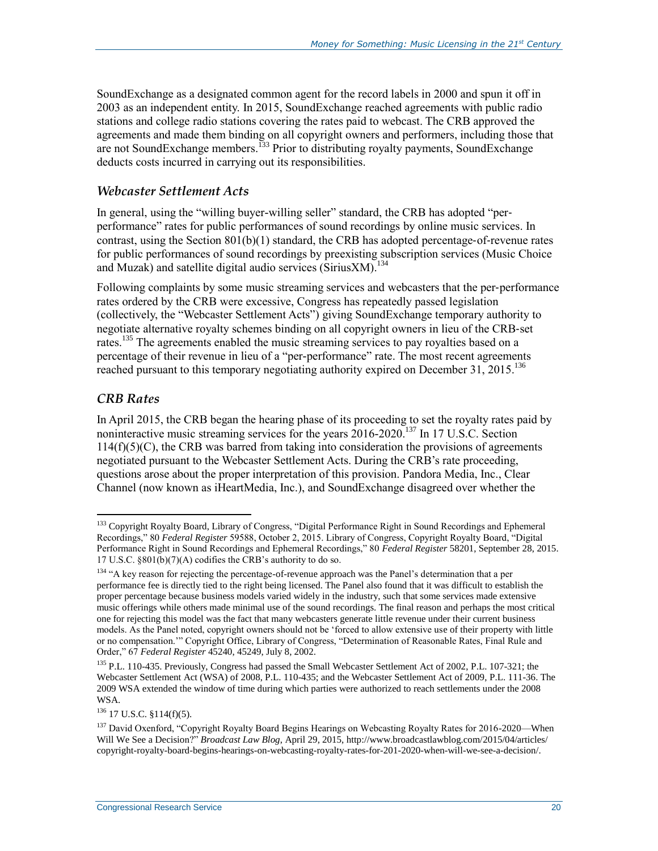SoundExchange as a designated common agent for the record labels in 2000 and spun it off in 2003 as an independent entity. In 2015, SoundExchange reached agreements with public radio stations and college radio stations covering the rates paid to webcast. The CRB approved the agreements and made them binding on all copyright owners and performers, including those that are not SoundExchange members.<sup>133</sup> Prior to distributing royalty payments, SoundExchange deducts costs incurred in carrying out its responsibilities.

#### *Webcaster Settlement Acts*

In general, using the "willing buyer-willing seller" standard, the CRB has adopted "perperformance" rates for public performances of sound recordings by online music services. In contrast, using the Section  $801(b)(1)$  standard, the CRB has adopted percentage-of-revenue rates for public performances of sound recordings by preexisting subscription services (Music Choice and Muzak) and satellite digital audio services (SiriusXM). 134

Following complaints by some music streaming services and webcasters that the per-performance rates ordered by the CRB were excessive, Congress has repeatedly passed legislation (collectively, the "Webcaster Settlement Acts") giving SoundExchange temporary authority to negotiate alternative royalty schemes binding on all copyright owners in lieu of the CRB‐set rates.<sup>135</sup> The agreements enabled the music streaming services to pay royalties based on a percentage of their revenue in lieu of a "per-performance" rate. The most recent agreements reached pursuant to this temporary negotiating authority expired on December 31, 2015.<sup>136</sup>

### *CRB Rates*

 $\overline{a}$ 

In April 2015, the CRB began the hearing phase of its proceeding to set the royalty rates paid by noninteractive music streaming services for the years 2016-2020.<sup>137</sup> In 17 U.S.C. Section  $114(f)(5)(C)$ , the CRB was barred from taking into consideration the provisions of agreements negotiated pursuant to the Webcaster Settlement Acts. During the CRB's rate proceeding, questions arose about the proper interpretation of this provision. Pandora Media, Inc., Clear Channel (now known as iHeartMedia, Inc.), and SoundExchange disagreed over whether the

<sup>&</sup>lt;sup>133</sup> Copyright Royalty Board, Library of Congress, "Digital Performance Right in Sound Recordings and Ephemeral Recordings," 80 *Federal Register* 59588, October 2, 2015. Library of Congress, Copyright Royalty Board, "Digital Performance Right in Sound Recordings and Ephemeral Recordings," 80 *Federal Register* 58201, September 28, 2015. 17 U.S.C. §801(b)(7)(A) codifies the CRB's authority to do so.

<sup>&</sup>lt;sup>134</sup> "A key reason for rejecting the percentage-of-revenue approach was the Panel's determination that a per performance fee is directly tied to the right being licensed. The Panel also found that it was difficult to establish the proper percentage because business models varied widely in the industry, such that some services made extensive music offerings while others made minimal use of the sound recordings. The final reason and perhaps the most critical one for rejecting this model was the fact that many webcasters generate little revenue under their current business models. As the Panel noted, copyright owners should not be 'forced to allow extensive use of their property with little or no compensation.'" Copyright Office, Library of Congress, "Determination of Reasonable Rates, Final Rule and Order," 67 *Federal Register* 45240, 45249, July 8, 2002.

<sup>&</sup>lt;sup>135</sup> P.L. 110-435. Previously, Congress had passed the Small Webcaster Settlement Act of 2002, P.L. 107-321; the Webcaster Settlement Act (WSA) of 2008, P.L. 110-435; and the Webcaster Settlement Act of 2009, P.L. 111-36. The 2009 WSA extended the window of time during which parties were authorized to reach settlements under the 2008 WSA.

<sup>136</sup> 17 U.S.C. §114(f)(5).

<sup>&</sup>lt;sup>137</sup> David Oxenford, "Copyright Royalty Board Begins Hearings on Webcasting Royalty Rates for 2016-2020—When Will We See a Decision?" *Broadcast Law Blog*, April 29, 2015, http://www.broadcastlawblog.com/2015/04/articles/ copyright-royalty-board-begins-hearings-on-webcasting-royalty-rates-for-201-2020-when-will-we-see-a-decision/.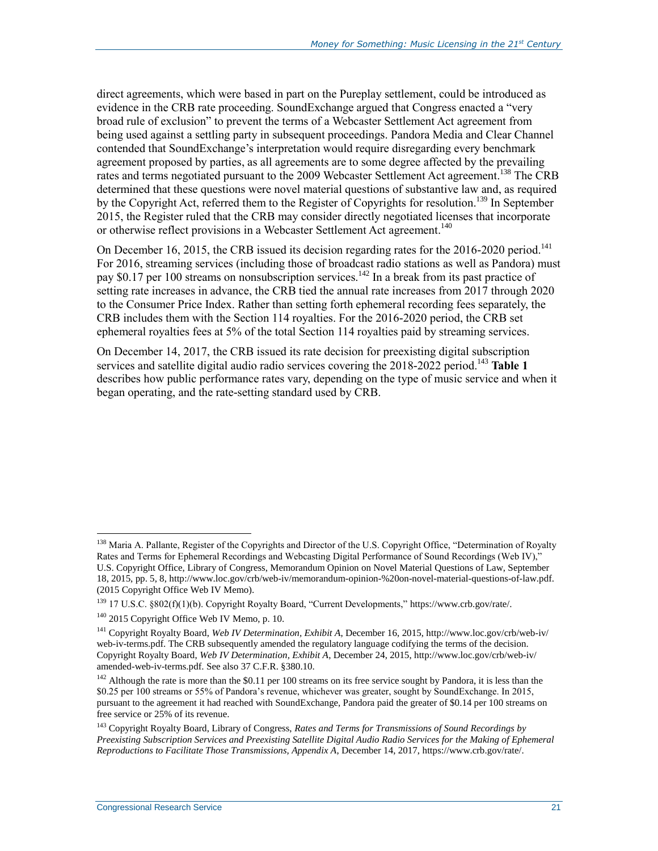direct agreements, which were based in part on the Pureplay settlement, could be introduced as evidence in the CRB rate proceeding. SoundExchange argued that Congress enacted a "very broad rule of exclusion" to prevent the terms of a Webcaster Settlement Act agreement from being used against a settling party in subsequent proceedings. Pandora Media and Clear Channel contended that SoundExchange's interpretation would require disregarding every benchmark agreement proposed by parties, as all agreements are to some degree affected by the prevailing rates and terms negotiated pursuant to the 2009 Webcaster Settlement Act agreement.<sup>138</sup> The CRB determined that these questions were novel material questions of substantive law and, as required by the Copyright Act, referred them to the Register of Copyrights for resolution.<sup>139</sup> In September 2015, the Register ruled that the CRB may consider directly negotiated licenses that incorporate or otherwise reflect provisions in a Webcaster Settlement Act agreement.<sup>140</sup>

On December 16, 2015, the CRB issued its decision regarding rates for the 2016-2020 period.<sup>141</sup> For 2016, streaming services (including those of broadcast radio stations as well as Pandora) must pay \$0.17 per 100 streams on nonsubscription services.<sup>142</sup> In a break from its past practice of setting rate increases in advance, the CRB tied the annual rate increases from 2017 through 2020 to the Consumer Price Index. Rather than setting forth ephemeral recording fees separately, the CRB includes them with the Section 114 royalties. For the 2016-2020 period, the CRB set ephemeral royalties fees at 5% of the total Section 114 royalties paid by streaming services.

On December 14, 2017, the CRB issued its rate decision for preexisting digital subscription services and satellite digital audio radio services covering the 2018-2022 period.<sup>143</sup> [Table 1](#page-24-0) describes how public performance rates vary, depending on the type of music service and when it began operating, and the rate-setting standard used by CRB.

<sup>&</sup>lt;sup>138</sup> Maria A. Pallante, Register of the Copyrights and Director of the U.S. Copyright Office, "Determination of Royalty Rates and Terms for Ephemeral Recordings and Webcasting Digital Performance of Sound Recordings (Web IV)," U.S. Copyright Office, Library of Congress, Memorandum Opinion on Novel Material Questions of Law, September 18, 2015, pp. 5, 8, http://www.loc.gov/crb/web-iv/memorandum-opinion-%20on-novel-material-questions-of-law.pdf. (2015 Copyright Office Web IV Memo).

<sup>139</sup> 17 U.S.C. §802(f)(1)(b). Copyright Royalty Board, "Current Developments," https://www.crb.gov/rate/.

<sup>140</sup> 2015 Copyright Office Web IV Memo, p. 10.

<sup>141</sup> Copyright Royalty Board, *Web IV Determination, Exhibit A*, December 16, 2015, http://www.loc.gov/crb/web-iv/ web-iv-terms.pdf. The CRB subsequently amended the regulatory language codifying the terms of the decision. Copyright Royalty Board, *Web IV Determination, Exhibit A*, December 24, 2015, http://www.loc.gov/crb/web-iv/ amended-web-iv-terms.pdf. See also 37 C.F.R. §380.10.

 $142$  Although the rate is more than the \$0.11 per 100 streams on its free service sought by Pandora, it is less than the \$0.25 per 100 streams or 55% of Pandora's revenue, whichever was greater, sought by SoundExchange. In 2015, pursuant to the agreement it had reached with SoundExchange, Pandora paid the greater of \$0.14 per 100 streams on free service or 25% of its revenue.

<sup>143</sup> Copyright Royalty Board, Library of Congress, *Rates and Terms for Transmissions of Sound Recordings by Preexisting Subscription Services and Preexisting Satellite Digital Audio Radio Services for the Making of Ephemeral Reproductions to Facilitate Those Transmissions, Appendix A*, December 14, 2017, https://www.crb.gov/rate/.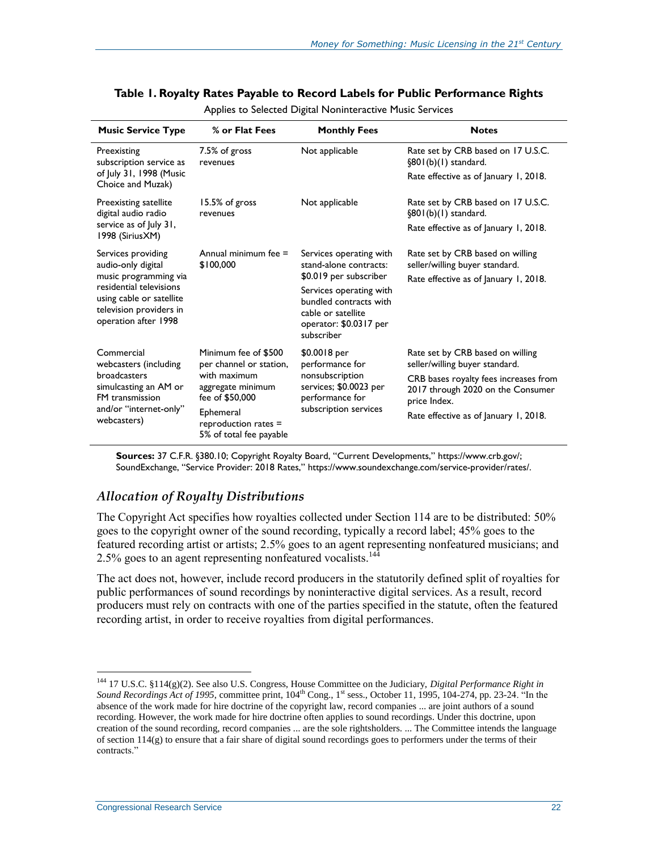| <b>Music Service Type</b>                                                                                                       | % or Flat Fees                                                                                          | <b>Monthly Fees</b>                                                                                                                       | <b>Notes</b>                                                                               |  |
|---------------------------------------------------------------------------------------------------------------------------------|---------------------------------------------------------------------------------------------------------|-------------------------------------------------------------------------------------------------------------------------------------------|--------------------------------------------------------------------------------------------|--|
| Preexisting<br>subscription service as                                                                                          | 7.5% of gross<br>revenues                                                                               | Not applicable                                                                                                                            | Rate set by CRB based on 17 U.S.C.<br>$\S801(b)(1)$ standard.                              |  |
| of July 31, 1998 (Music<br>Choice and Muzak)                                                                                    |                                                                                                         |                                                                                                                                           | Rate effective as of January 1, 2018.                                                      |  |
| Preexisting satellite<br>digital audio radio                                                                                    | 15.5% of gross<br>revenues                                                                              | Not applicable                                                                                                                            | Rate set by CRB based on 17 U.S.C.<br>$\S801(b)(1)$ standard.                              |  |
| service as of July 31,<br>1998 (Sirius XM)                                                                                      |                                                                                                         |                                                                                                                                           | Rate effective as of January 1, 2018.                                                      |  |
| Services providing<br>audio-only digital                                                                                        | Annual minimum fee =<br>\$100,000                                                                       | Services operating with<br>stand-alone contracts:                                                                                         | Rate set by CRB based on willing<br>seller/willing buyer standard.                         |  |
| music programming via<br>residential televisions<br>using cable or satellite<br>television providers in<br>operation after 1998 |                                                                                                         | \$0.019 per subscriber<br>Services operating with<br>bundled contracts with<br>cable or satellite<br>operator: \$0.0317 per<br>subscriber | Rate effective as of January 1, 2018.                                                      |  |
|                                                                                                                                 |                                                                                                         |                                                                                                                                           |                                                                                            |  |
| Commercial<br>webcasters (including                                                                                             | Minimum fee of \$500<br>per channel or station,<br>with maximum<br>aggregate minimum<br>fee of \$50,000 | \$0.0018 per<br>performance for<br>nonsubscription<br>services; \$0.0023 per<br>performance for                                           | Rate set by CRB based on willing<br>seller/willing buyer standard.                         |  |
| broadcasters<br>simulcasting an AM or<br>FM transmission                                                                        |                                                                                                         |                                                                                                                                           | CRB bases royalty fees increases from<br>2017 through 2020 on the Consumer<br>price Index. |  |
| and/or "internet-only"<br>webcasters)                                                                                           | Ephemeral<br>reproduction rates $=$<br>5% of total fee payable                                          | subscription services                                                                                                                     | Rate effective as of January 1, 2018.                                                      |  |

#### <span id="page-24-0"></span>**Table 1. Royalty Rates Payable to Record Labels for Public Performance Rights**

Applies to Selected Digital Noninteractive Music Services

**Sources:** 37 C.F.R. §380.10; Copyright Royalty Board, "Current Developments," https://www.crb.gov/; SoundExchange, "Service Provider: 2018 Rates," https://www.soundexchange.com/service-provider/rates/.

#### *Allocation of Royalty Distributions*

The Copyright Act specifies how royalties collected under Section 114 are to be distributed: 50% goes to the copyright owner of the sound recording, typically a record label; 45% goes to the featured recording artist or artists; 2.5% goes to an agent representing nonfeatured musicians; and 2.5% goes to an agent representing nonfeatured vocalists.<sup>144</sup>

The act does not, however, include record producers in the statutorily defined split of royalties for public performances of sound recordings by noninteractive digital services. As a result, record producers must rely on contracts with one of the parties specified in the statute, often the featured recording artist, in order to receive royalties from digital performances.

<sup>144</sup> 17 U.S.C. §114(g)(2). See also U.S. Congress, House Committee on the Judiciary, *Digital Performance Right in Sound Recordings Act of 1995*, committee print,  $104<sup>th</sup>$  Cong., 1<sup>st</sup> sess., October 11, 1995, 104-274, pp. 23-24. "In the absence of the work made for hire doctrine of the copyright law, record companies ... are joint authors of a sound recording. However, the work made for hire doctrine often applies to sound recordings. Under this doctrine, upon creation of the sound recording, record companies ... are the sole rightsholders. ... The Committee intends the language of section 114(g) to ensure that a fair share of digital sound recordings goes to performers under the terms of their contracts."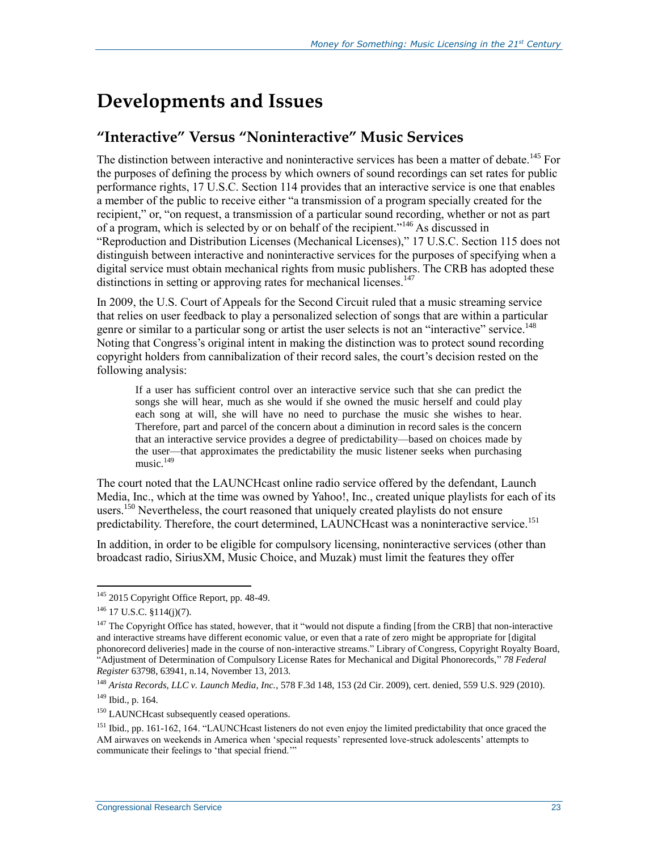## <span id="page-25-0"></span>**Developments and Issues**

### **"Interactive" Versus "Noninteractive" Music Services**

The distinction between interactive and noninteractive services has been a matter of debate.<sup>145</sup> For the purposes of defining the process by which owners of sound recordings can set rates for public performance rights, 17 U.S.C. Section 114 provides that an interactive service is one that enables a member of the public to receive either "a transmission of a program specially created for the recipient," or, "on request, a transmission of a particular sound recording, whether or not as part of a program, which is selected by or on behalf of the recipient."<sup>146</sup> As discussed in ["Reproduction and Distribution Licenses \(Mechanical Licenses\),](#page-10-0)" 17 U.S.C. Section 115 does not distinguish between interactive and noninteractive services for the purposes of specifying when a digital service must obtain mechanical rights from music publishers. The CRB has adopted these distinctions in setting or approving rates for mechanical licenses.<sup>147</sup>

In 2009, the U.S. Court of Appeals for the Second Circuit ruled that a music streaming service that relies on user feedback to play a personalized selection of songs that are within a particular genre or similar to a particular song or artist the user selects is not an "interactive" service.<sup>148</sup> Noting that Congress's original intent in making the distinction was to protect sound recording copyright holders from cannibalization of their record sales, the court's decision rested on the following analysis:

If a user has sufficient control over an interactive service such that she can predict the songs she will hear, much as she would if she owned the music herself and could play each song at will, she will have no need to purchase the music she wishes to hear. Therefore, part and parcel of the concern about a diminution in record sales is the concern that an interactive service provides a degree of predictability—based on choices made by the user—that approximates the predictability the music listener seeks when purchasing music.<sup>149</sup>

The court noted that the LAUNCHcast online radio service offered by the defendant, Launch Media, Inc., which at the time was owned by Yahoo!, Inc., created unique playlists for each of its users.<sup>150</sup> Nevertheless, the court reasoned that uniquely created playlists do not ensure predictability. Therefore, the court determined, LAUNCHcast was a noninteractive service.<sup>151</sup>

In addition, in order to be eligible for compulsory licensing, noninteractive services (other than broadcast radio, SiriusXM, Music Choice, and Muzak) must limit the features they offer

<sup>&</sup>lt;sup>145</sup> 2015 Copyright Office Report, pp. 48-49.

<sup>146</sup> 17 U.S.C. §114(j)(7).

 $147$  The Copyright Office has stated, however, that it "would not dispute a finding [from the CRB] that non-interactive and interactive streams have different economic value, or even that a rate of zero might be appropriate for [digital phonorecord deliveries] made in the course of non-interactive streams." Library of Congress, Copyright Royalty Board, "Adjustment of Determination of Compulsory License Rates for Mechanical and Digital Phonorecords," *78 Federal Register* 63798, 63941, n.14, November 13, 2013.

<sup>148</sup> *Arista Records, LLC v. Launch Media, Inc.*, 578 F.3d 148, 153 (2d Cir. 2009), cert. denied, 559 U.S. 929 (2010).

<sup>149</sup> Ibid., p. 164.

<sup>&</sup>lt;sup>150</sup> LAUNCHcast subsequently ceased operations.

<sup>&</sup>lt;sup>151</sup> Ibid., pp. 161-162, 164. "LAUNCH cast listeners do not even enjoy the limited predictability that once graced the AM airwaves on weekends in America when 'special requests' represented love-struck adolescents' attempts to communicate their feelings to 'that special friend.'"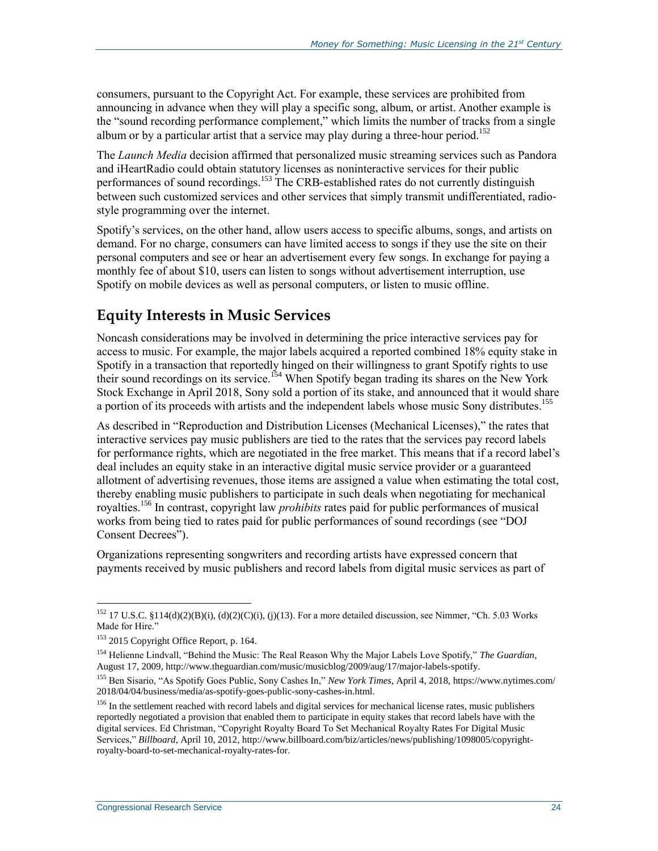consumers, pursuant to the Copyright Act. For example, these services are prohibited from announcing in advance when they will play a specific song, album, or artist. Another example is the "sound recording performance complement," which limits the number of tracks from a single album or by a particular artist that a service may play during a three-hour period.<sup>152</sup>

The *Launch Media* decision affirmed that personalized music streaming services such as Pandora and iHeartRadio could obtain statutory licenses as noninteractive services for their public performances of sound recordings.<sup>153</sup> The CRB-established rates do not currently distinguish between such customized services and other services that simply transmit undifferentiated, radiostyle programming over the internet.

Spotify's services, on the other hand, allow users access to specific albums, songs, and artists on demand. For no charge, consumers can have limited access to songs if they use the site on their personal computers and see or hear an advertisement every few songs. In exchange for paying a monthly fee of about \$10, users can listen to songs without advertisement interruption, use Spotify on mobile devices as well as personal computers, or listen to music offline.

### **Equity Interests in Music Services**

Noncash considerations may be involved in determining the price interactive services pay for access to music. For example, the major labels acquired a reported combined 18% equity stake in Spotify in a transaction that reportedly hinged on their willingness to grant Spotify rights to use spoury in a transaction that reportedly imped on their management of Spotify began trading its shares on the New York Stock Exchange in April 2018, Sony sold a portion of its stake, and announced that it would share a portion of its proceeds with artists and the independent labels whose music Sony distributes.<sup>155</sup>

As described in ["Reproduction and Distribution Licenses \(Mechanical Licenses\),](#page-10-0)" the rates that interactive services pay music publishers are tied to the rates that the services pay record labels for performance rights, which are negotiated in the free market. This means that if a record label's deal includes an equity stake in an interactive digital music service provider or a guaranteed allotment of advertising revenues, those items are assigned a value when estimating the total cost, thereby enabling music publishers to participate in such deals when negotiating for mechanical royalties.<sup>156</sup> In contrast, copyright law *prohibits* rates paid for public performances of musical works from being tied to rates paid for public performances of sound recordings (see ["DOJ](#page-17-0)  [Consent Decrees"](#page-17-0)).

Organizations representing songwriters and recording artists have expressed concern that payments received by music publishers and record labels from digital music services as part of

<sup>&</sup>lt;sup>152</sup> 17 U.S.C. §114(d)(2)(B)(i), (d)(2)(C)(i), (j)(13). For a more detailed discussion, see Nimmer, "Ch. 5.03 Works Made for Hire."

<sup>&</sup>lt;sup>153</sup> 2015 Copyright Office Report, p. 164.

<sup>154</sup> Helienne Lindvall, "Behind the Music: The Real Reason Why the Major Labels Love Spotify," *The Guardian*, August 17, 2009, http://www.theguardian.com/music/musicblog/2009/aug/17/major-labels-spotify.

<sup>155</sup> Ben Sisario, "As Spotify Goes Public, Sony Cashes In," *New York Times*, April 4, 2018, https://www.nytimes.com/ 2018/04/04/business/media/as-spotify-goes-public-sony-cashes-in.html.

<sup>&</sup>lt;sup>156</sup> In the settlement reached with record labels and digital services for mechanical license rates, music publishers reportedly negotiated a provision that enabled them to participate in equity stakes that record labels have with the digital services. Ed Christman, "Copyright Royalty Board To Set Mechanical Royalty Rates For Digital Music Services," *Billboard*, April 10, 2012, http://www.billboard.com/biz/articles/news/publishing/1098005/copyrightroyalty-board-to-set-mechanical-royalty-rates-for.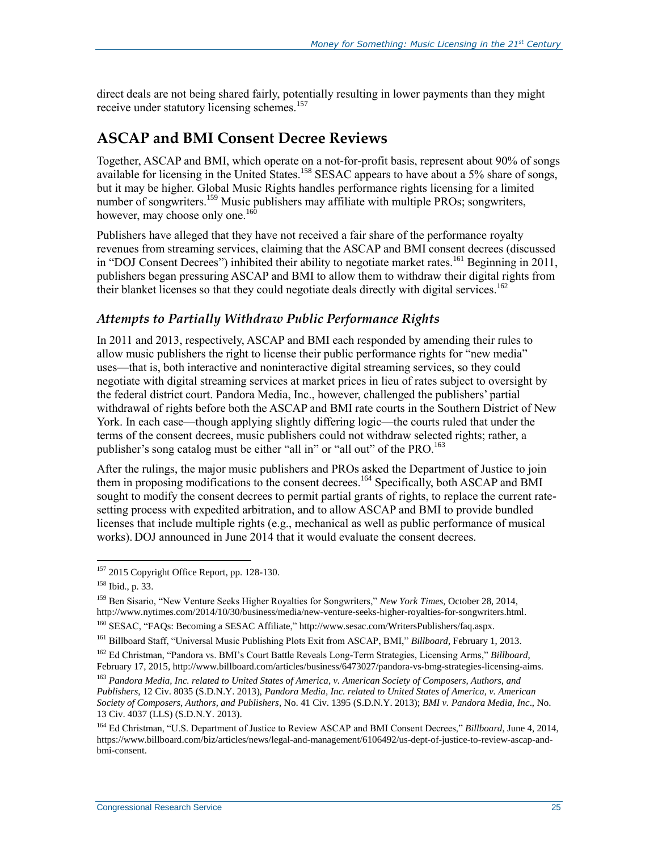direct deals are not being shared fairly, potentially resulting in lower payments than they might receive under statutory licensing schemes.<sup>157</sup>

### <span id="page-27-0"></span>**ASCAP and BMI Consent Decree Reviews**

Together, ASCAP and BMI, which operate on a not-for-profit basis, represent about 90% of songs available for licensing in the United States.<sup>158</sup> SESAC appears to have about a 5% share of songs, but it may be higher. Global Music Rights handles performance rights licensing for a limited number of songwriters.<sup>159</sup> Music publishers may affiliate with multiple PROs; songwriters, however, may choose only one. $160$ 

Publishers have alleged that they have not received a fair share of the performance royalty revenues from streaming services, claiming that the ASCAP and BMI consent decrees (discussed in ["DOJ Consent Decrees"](#page-17-0)) inhibited their ability to negotiate market rates.<sup>161</sup> Beginning in 2011, publishers began pressuring ASCAP and BMI to allow them to withdraw their digital rights from their blanket licenses so that they could negotiate deals directly with digital services.<sup>162</sup>

### *Attempts to Partially Withdraw Public Performance Rights*

In 2011 and 2013, respectively, ASCAP and BMI each responded by amending their rules to allow music publishers the right to license their public performance rights for "new media" uses—that is, both interactive and noninteractive digital streaming services, so they could negotiate with digital streaming services at market prices in lieu of rates subject to oversight by the federal district court. Pandora Media, Inc., however, challenged the publishers' partial withdrawal of rights before both the ASCAP and BMI rate courts in the Southern District of New York. In each case—though applying slightly differing logic—the courts ruled that under the terms of the consent decrees, music publishers could not withdraw selected rights; rather, a publisher's song catalog must be either "all in" or "all out" of the PRO.<sup>163</sup>

After the rulings, the major music publishers and PROs asked the Department of Justice to join them in proposing modifications to the consent decrees.<sup>164</sup> Specifically, both ASCAP and BMI sought to modify the consent decrees to permit partial grants of rights, to replace the current ratesetting process with expedited arbitration, and to allow ASCAP and BMI to provide bundled licenses that include multiple rights (e.g., mechanical as well as public performance of musical works). DOJ announced in June 2014 that it would evaluate the consent decrees.

<sup>&</sup>lt;sup>157</sup> 2015 Copyright Office Report, pp. 128-130.

<sup>158</sup> Ibid., p. 33.

<sup>159</sup> Ben Sisario, "New Venture Seeks Higher Royalties for Songwriters," *New York Times*, October 28, 2014, http://www.nytimes.com/2014/10/30/business/media/new-venture-seeks-higher-royalties-for-songwriters.html.

<sup>160</sup> SESAC, "FAQs: Becoming a SESAC Affiliate," http://www.sesac.com/WritersPublishers/faq.aspx.

<sup>161</sup> Billboard Staff, "Universal Music Publishing Plots Exit from ASCAP, BMI," *Billboard*, February 1, 2013.

<sup>162</sup> Ed Christman, "Pandora vs. BMI's Court Battle Reveals Long-Term Strategies, Licensing Arms," *Billboard*, February 17, 2015, http://www.billboard.com/articles/business/6473027/pandora-vs-bmg-strategies-licensing-aims.

<sup>163</sup> *Pandora Media, Inc. related to United States of America, v. American Society of Composers, Authors, and Publishers*, 12 Civ. 8035 (S.D.N.Y. 2013), *Pandora Media, Inc. related to United States of America, v. American Society of Composers, Authors, and Publishers*, No. 41 Civ. 1395 (S.D.N.Y. 2013); *BMI v. Pandora Media, Inc*., No. 13 Civ. 4037 (LLS) (S.D.N.Y. 2013).

<sup>164</sup> Ed Christman, "U.S. Department of Justice to Review ASCAP and BMI Consent Decrees," *Billboard*, June 4, 2014, https://www.billboard.com/biz/articles/news/legal-and-management/6106492/us-dept-of-justice-to-review-ascap-andbmi-consent.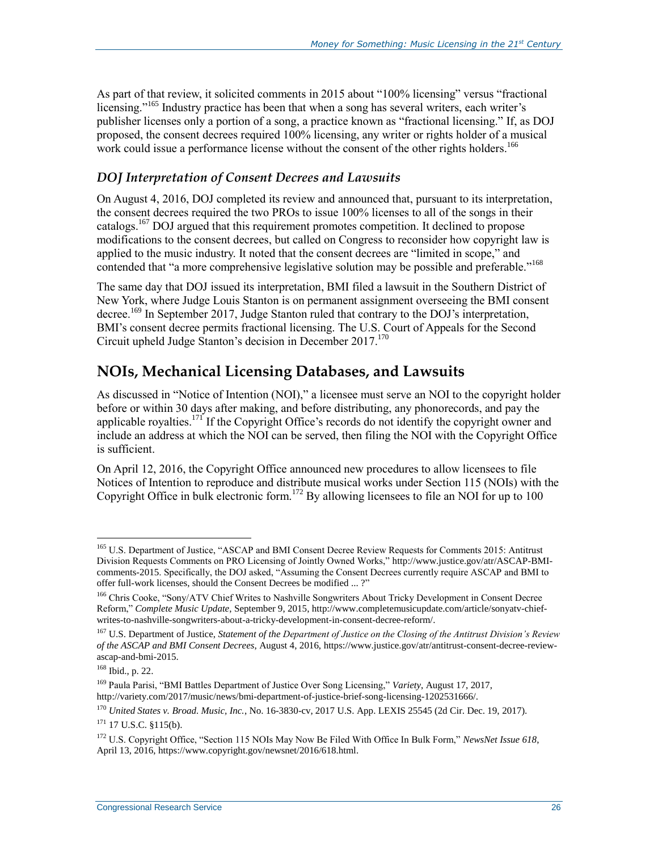As part of that review, it solicited comments in 2015 about "100% licensing" versus "fractional licensing."<sup>165</sup> Industry practice has been that when a song has several writers, each writer's publisher licenses only a portion of a song, a practice known as "fractional licensing." If, as DOJ proposed, the consent decrees required 100% licensing, any writer or rights holder of a musical work could issue a performance license without the consent of the other rights holders.<sup>166</sup>

#### *DOJ Interpretation of Consent Decrees and Lawsuits*

On August 4, 2016, DOJ completed its review and announced that, pursuant to its interpretation, the consent decrees required the two PROs to issue 100% licenses to all of the songs in their catalogs.<sup>167</sup> DOJ argued that this requirement promotes competition. It declined to propose modifications to the consent decrees, but called on Congress to reconsider how copyright law is applied to the music industry. It noted that the consent decrees are "limited in scope," and contended that "a more comprehensive legislative solution may be possible and preferable."<sup>168</sup>

The same day that DOJ issued its interpretation, BMI filed a lawsuit in the Southern District of New York, where Judge Louis Stanton is on permanent assignment overseeing the BMI consent decree.<sup>169</sup> In September 2017, Judge Stanton ruled that contrary to the DOJ's interpretation, BMI's consent decree permits fractional licensing. The U.S. Court of Appeals for the Second Circuit upheld Judge Stanton's decision in December 2017. 170

### **NOIs, Mechanical Licensing Databases, and Lawsuits**

As discussed in ["Notice of Intention \(NOI\),](#page-12-0)" a licensee must serve an NOI to the copyright holder before or within 30 days after making, and before distributing, any phonorecords, and pay the applicable royalties.<sup>171</sup> If the Copyright Office's records do not identify the copyright owner and include an address at which the NOI can be served, then filing the NOI with the Copyright Office is sufficient.

On April 12, 2016, the Copyright Office announced new procedures to allow licensees to file Notices of Intention to reproduce and distribute musical works under Section 115 (NOIs) with the Copyright Office in bulk electronic form.<sup>172</sup> By allowing licensees to file an NOI for up to 100

<sup>165</sup> U.S. Department of Justice, "ASCAP and BMI Consent Decree Review Requests for Comments 2015: Antitrust Division Requests Comments on PRO Licensing of Jointly Owned Works," http://www.justice.gov/atr/ASCAP-BMIcomments-2015. Specifically, the DOJ asked, "Assuming the Consent Decrees currently require ASCAP and BMI to offer full-work licenses, should the Consent Decrees be modified ... ?"

<sup>&</sup>lt;sup>166</sup> Chris Cooke, "Sony/ATV Chief Writes to Nashville Songwriters About Tricky Development in Consent Decree Reform," *Complete Music Update*, September 9, 2015, http://www.completemusicupdate.com/article/sonyatv-chiefwrites-to-nashville-songwriters-about-a-tricky-development-in-consent-decree-reform/.

<sup>167</sup> U.S. Department of Justice, *Statement of the Department of Justice on the Closing of the Antitrust Division's Review of the ASCAP and BMI Consent Decrees*, August 4, 2016, https://www.justice.gov/atr/antitrust-consent-decree-reviewascap-and-bmi-2015.

<sup>168</sup> Ibid., p. 22.

<sup>169</sup> Paula Parisi, "BMI Battles Department of Justice Over Song Licensing," *Variety*, August 17, 2017, http://variety.com/2017/music/news/bmi-department-of-justice-brief-song-licensing-1202531666/.

<sup>170</sup> *United States v. Broad. Music, Inc.*, No. 16-3830-cv, 2017 U.S. App. LEXIS 25545 (2d Cir. Dec. 19, 2017).

<sup>171</sup> 17 U.S.C. §115(b).

<sup>172</sup> U.S. Copyright Office, "Section 115 NOIs May Now Be Filed With Office In Bulk Form," *NewsNet Issue 618*, April 13, 2016, https://www.copyright.gov/newsnet/2016/618.html.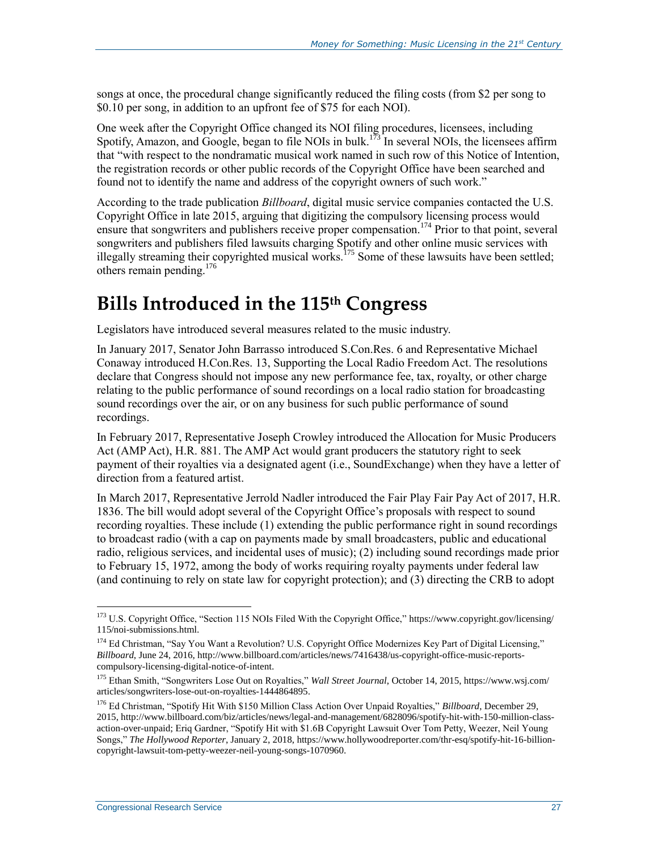songs at once, the procedural change significantly reduced the filing costs (from \$2 per song to \$0.10 per song, in addition to an upfront fee of \$75 for each NOI).

One week after the Copyright Office changed its NOI filing procedures, licensees, including Spotify, Amazon, and Google, began to file NOIs in bulk.<sup>173</sup> In several NOIs, the licensees affirm that "with respect to the nondramatic musical work named in such row of this Notice of Intention, the registration records or other public records of the Copyright Office have been searched and found not to identify the name and address of the copyright owners of such work."

According to the trade publication *Billboard*, digital music service companies contacted the U.S. Copyright Office in late 2015, arguing that digitizing the compulsory licensing process would ensure that songwriters and publishers receive proper compensation.<sup>174</sup> Prior to that point, several songwriters and publishers filed lawsuits charging Spotify and other online music services with illegally streaming their copyrighted musical works.<sup>175</sup> Some of these lawsuits have been settled; others remain pending. 176

## <span id="page-29-0"></span>**Bills Introduced in the 115th Congress**

Legislators have introduced several measures related to the music industry.

In January 2017, Senator John Barrasso introduced S.Con.Res. 6 and Representative Michael Conaway introduced H.Con.Res. 13, Supporting the Local Radio Freedom Act. The resolutions declare that Congress should not impose any new performance fee, tax, royalty, or other charge relating to the public performance of sound recordings on a local radio station for broadcasting sound recordings over the air, or on any business for such public performance of sound recordings.

In February 2017, Representative Joseph Crowley introduced the Allocation for Music Producers Act (AMP Act), H.R. 881. The AMP Act would grant producers the statutory right to seek payment of their royalties via a designated agent (i.e., SoundExchange) when they have a letter of direction from a featured artist.

In March 2017, Representative Jerrold Nadler introduced the Fair Play Fair Pay Act of 2017, H.R. 1836. The bill would adopt several of the Copyright Office's proposals with respect to sound recording royalties. These include (1) extending the public performance right in sound recordings to broadcast radio (with a cap on payments made by small broadcasters, public and educational radio, religious services, and incidental uses of music); (2) including sound recordings made prior to February 15, 1972, among the body of works requiring royalty payments under federal law (and continuing to rely on state law for copyright protection); and (3) directing the CRB to adopt

<sup>&</sup>lt;sup>173</sup> U.S. Copyright Office, "Section 115 NOIs Filed With the Copyright Office," https://www.copyright.gov/licensing/ 115/noi-submissions.html.

<sup>&</sup>lt;sup>174</sup> Ed Christman, "Say You Want a Revolution? U.S. Copyright Office Modernizes Key Part of Digital Licensing," *Billboard*, June 24, 2016, http://www.billboard.com/articles/news/7416438/us-copyright-office-music-reportscompulsory-licensing-digital-notice-of-intent.

<sup>175</sup> Ethan Smith, "Songwriters Lose Out on Royalties," *Wall Street Journal*, October 14, 2015, https://www.wsj.com/ articles/songwriters-lose-out-on-royalties-1444864895.

<sup>176</sup> Ed Christman, "Spotify Hit With \$150 Million Class Action Over Unpaid Royalties," *Billboard*, December 29, 2015, http://www.billboard.com/biz/articles/news/legal-and-management/6828096/spotify-hit-with-150-million-classaction-over-unpaid; Eriq Gardner, "Spotify Hit with \$1.6B Copyright Lawsuit Over Tom Petty, Weezer, Neil Young Songs," *The Hollywood Reporter*, January 2, 2018, https://www.hollywoodreporter.com/thr-esq/spotify-hit-16-billioncopyright-lawsuit-tom-petty-weezer-neil-young-songs-1070960.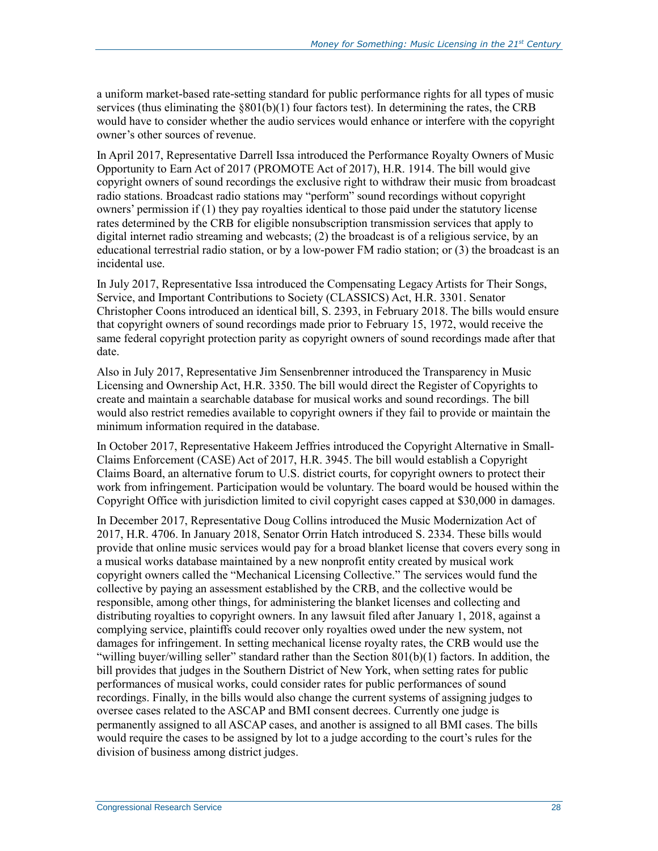a uniform market-based rate-setting standard for public performance rights for all types of music services (thus eliminating the  $\S 801(b)(1)$  four factors test). In determining the rates, the CRB would have to consider whether the audio services would enhance or interfere with the copyright owner's other sources of revenue.

In April 2017, Representative Darrell Issa introduced the Performance Royalty Owners of Music Opportunity to Earn Act of 2017 (PROMOTE Act of 2017), H.R. 1914. The bill would give copyright owners of sound recordings the exclusive right to withdraw their music from broadcast radio stations. Broadcast radio stations may "perform" sound recordings without copyright owners' permission if (1) they pay royalties identical to those paid under the statutory license rates determined by the CRB for eligible nonsubscription transmission services that apply to digital internet radio streaming and webcasts; (2) the broadcast is of a religious service, by an educational terrestrial radio station, or by a low-power FM radio station; or (3) the broadcast is an incidental use.

In July 2017, Representative Issa introduced the Compensating Legacy Artists for Their Songs, Service, and Important Contributions to Society (CLASSICS) Act, H.R. 3301. Senator Christopher Coons introduced an identical bill, S. 2393, in February 2018. The bills would ensure that copyright owners of sound recordings made prior to February 15, 1972, would receive the same federal copyright protection parity as copyright owners of sound recordings made after that date.

Also in July 2017, Representative Jim Sensenbrenner introduced the Transparency in Music Licensing and Ownership Act, H.R. 3350. The bill would direct the Register of Copyrights to create and maintain a searchable database for musical works and sound recordings. The bill would also restrict remedies available to copyright owners if they fail to provide or maintain the minimum information required in the database.

In October 2017, Representative Hakeem Jeffries introduced the Copyright Alternative in Small-Claims Enforcement (CASE) Act of 2017, H.R. 3945. The bill would establish a Copyright Claims Board, an alternative forum to U.S. district courts, for copyright owners to protect their work from infringement. Participation would be voluntary. The board would be housed within the Copyright Office with jurisdiction limited to civil copyright cases capped at \$30,000 in damages.

In December 2017, Representative Doug Collins introduced the Music Modernization Act of 2017, H.R. 4706. In January 2018, Senator Orrin Hatch introduced S. 2334. These bills would provide that online music services would pay for a broad blanket license that covers every song in a musical works database maintained by a new nonprofit entity created by musical work copyright owners called the "Mechanical Licensing Collective." The services would fund the collective by paying an assessment established by the CRB, and the collective would be responsible, among other things, for administering the blanket licenses and collecting and distributing royalties to copyright owners. In any lawsuit filed after January 1, 2018, against a complying service, plaintiffs could recover only royalties owed under the new system, not damages for infringement. In setting mechanical license royalty rates, the CRB would use the "willing buyer/willing seller" standard rather than the Section 801(b)(1) factors. In addition, the bill provides that judges in the Southern District of New York, when setting rates for public performances of musical works, could consider rates for public performances of sound recordings. Finally, in the bills would also change the current systems of assigning judges to oversee cases related to the ASCAP and BMI consent decrees. Currently one judge is permanently assigned to all ASCAP cases, and another is assigned to all BMI cases. The bills would require the cases to be assigned by lot to a judge according to the court's rules for the division of business among district judges.